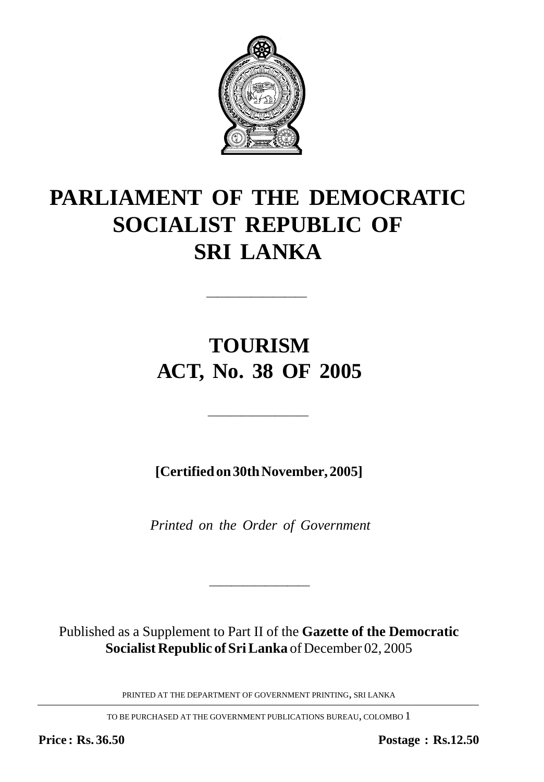

# **PARLIAMENT OF THE DEMOCRATIC SOCIALIST REPUBLIC OF SRI LANKA**

# **TOURISM ACT, No. 38 OF 2005**

—————————

**[Certified on 30th November, 2005]**

—————————

*Printed on the Order of Government*

Published as a Supplement to Part II of the **Gazette of the Democratic Socialist Republic of Sri Lanka** of December 02, 2005

————————————————————

PRINTED AT THE DEPARTMENT OF GOVERNMENT PRINTING, SRI LANKA

TO BE PURCHASED AT THE GOVERNMENT PUBLICATIONS BUREAU, COLOMBO 1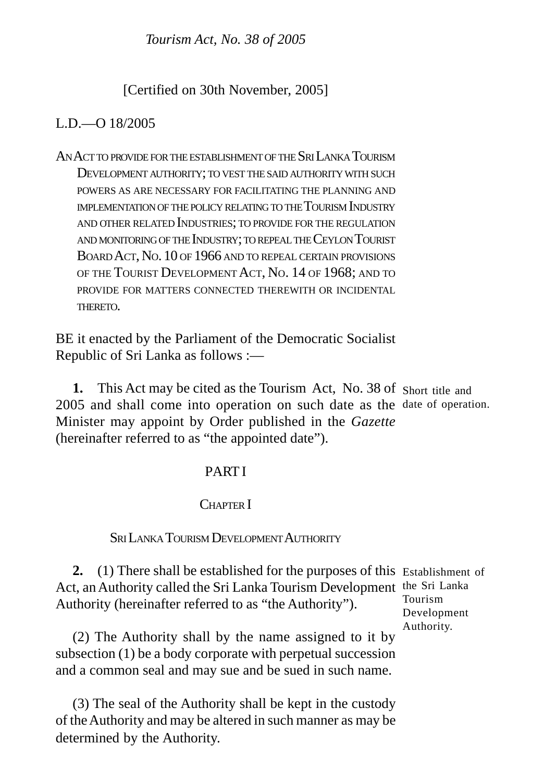*Tourism Act, No. 38 of 2005* 

[Certified on 30th November, 2005]

# $L.D = O 18/2005$

AN ACTTO PROVIDEFORTHEESTABLISHMENTOF THE SRI LANKA TOURISM DEVELOPMENT AUTHORITY; TO VEST THE SAID AUTHORITY WITH SUCH POWERS AS ARE NECESSARY FOR FACILITATING THE PLANNING AND IMPLEMENTATIONOF THEPOLICY RELATING TO THE TOURISM INDUSTRY AND OTHER RELATED INDUSTRIES; TO PROVIDE FOR THE REGULATION AND MONITORINGOF THE INDUSTRY; TO REPEALTHE CEYLON TOURIST BOARD ACT, NO. 10 OF 1966 AND TO REPEAL CERTAIN PROVISIONS OF THE TOURIST DEVELOPMENT ACT, NO. 14 OF 1968; AND TO PROVIDE FOR MATTERS CONNECTED THEREWITH OR INCIDENTAL THERETO.

BE it enacted by the Parliament of the Democratic Socialist Republic of Sri Lanka as follows :—

1. This Act may be cited as the Tourism Act, No. 38 of Short title and 2005 and shall come into operation on such date as the date of operation. Minister may appoint by Order published in the *Gazette* (hereinafter referred to as "the appointed date").

# PART I

# CHAPTER I

## SRI LANKA TOURISM DEVELOPMENT AUTHORITY

**2.** (1) There shall be established for the purposes of this Establishment of Act, an Authority called the Sri Lanka Tourism Development the Sri Lanka Authority (hereinafter referred to as "the Authority"). Tourism

Development Authority.

(2) The Authority shall by the name assigned to it by subsection (1) be a body corporate with perpetual succession and a common seal and may sue and be sued in such name.

(3) The seal of the Authority shall be kept in the custody of the Authority and may be altered in such manner as may be determined by the Authority.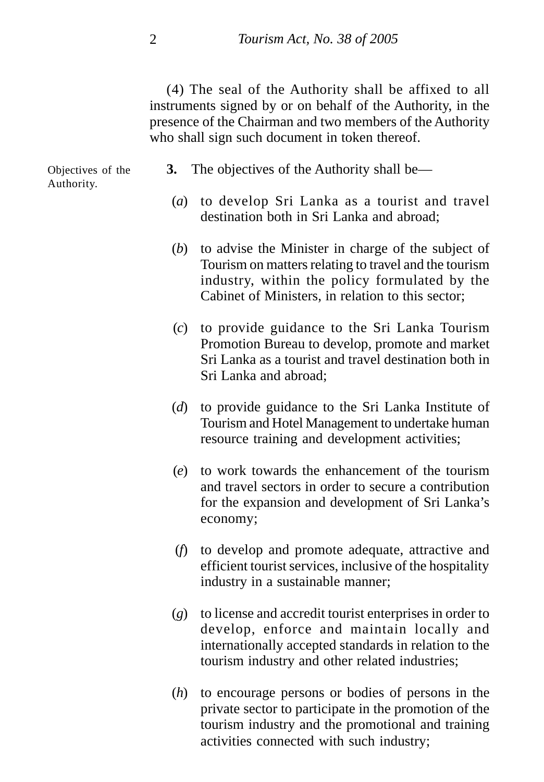(4) The seal of the Authority shall be affixed to all instruments signed by or on behalf of the Authority, in the presence of the Chairman and two members of the Authority who shall sign such document in token thereof.

Objectives of the Authority.

- **3.** The objectives of the Authority shall be—
- (*a*) to develop Sri Lanka as a tourist and travel destination both in Sri Lanka and abroad;
- (*b*) to advise the Minister in charge of the subject of Tourism on matters relating to travel and the tourism industry, within the policy formulated by the Cabinet of Ministers, in relation to this sector;
- (*c*) to provide guidance to the Sri Lanka Tourism Promotion Bureau to develop, promote and market Sri Lanka as a tourist and travel destination both in Sri Lanka and abroad;
- (*d*) to provide guidance to the Sri Lanka Institute of Tourism and Hotel Management to undertake human resource training and development activities;
- (*e*) to work towards the enhancement of the tourism and travel sectors in order to secure a contribution for the expansion and development of Sri Lanka's economy;
- (*f*) to develop and promote adequate, attractive and efficient tourist services, inclusive of the hospitality industry in a sustainable manner;
- (*g*) to license and accredit tourist enterprises in order to develop, enforce and maintain locally and internationally accepted standards in relation to the tourism industry and other related industries;
- (*h*) to encourage persons or bodies of persons in the private sector to participate in the promotion of the tourism industry and the promotional and training activities connected with such industry;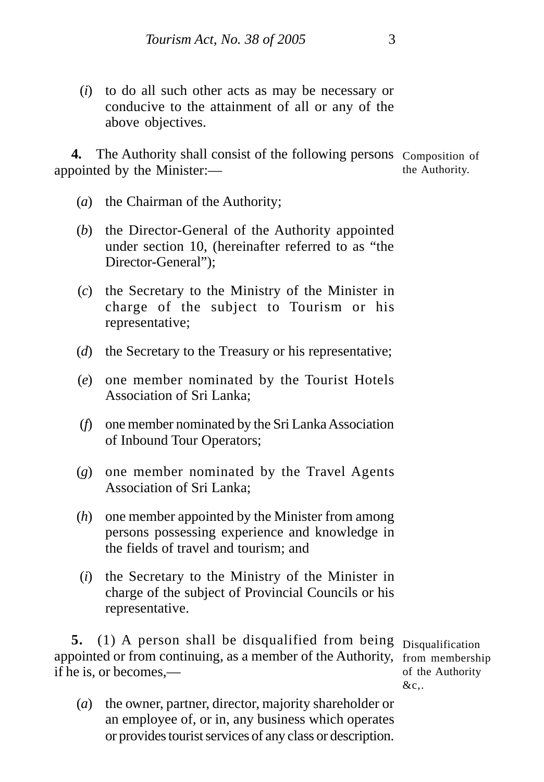(*i*) to do all such other acts as may be necessary or conducive to the attainment of all or any of the above objectives.

4. The Authority shall consist of the following persons Composition of appointed by the Minister: the Authority.

- (*a*) the Chairman of the Authority;
- (*b*) the Director-General of the Authority appointed under section 10, (hereinafter referred to as "the Director-General");
- (*c*) the Secretary to the Ministry of the Minister in charge of the subject to Tourism or his representative;
- (*d*) the Secretary to the Treasury or his representative;
- (*e*) one member nominated by the Tourist Hotels Association of Sri Lanka;
- (*f*) one member nominated by the Sri Lanka Association of Inbound Tour Operators;
- (*g*) one member nominated by the Travel Agents Association of Sri Lanka;
- (*h*) one member appointed by the Minister from among persons possessing experience and knowledge in the fields of travel and tourism; and
- (*i*) the Secretary to the Ministry of the Minister in charge of the subject of Provincial Councils or his representative.

**5.** (1) A person shall be disqualified from being Disqualification appointed or from continuing, as a member of the Authority, from membership if he is, or becomes,—

of the Authority  $&c$ ...

(*a*) the owner, partner, director, majority shareholder or an employee of, or in, any business which operates or provides tourist services of any class or description.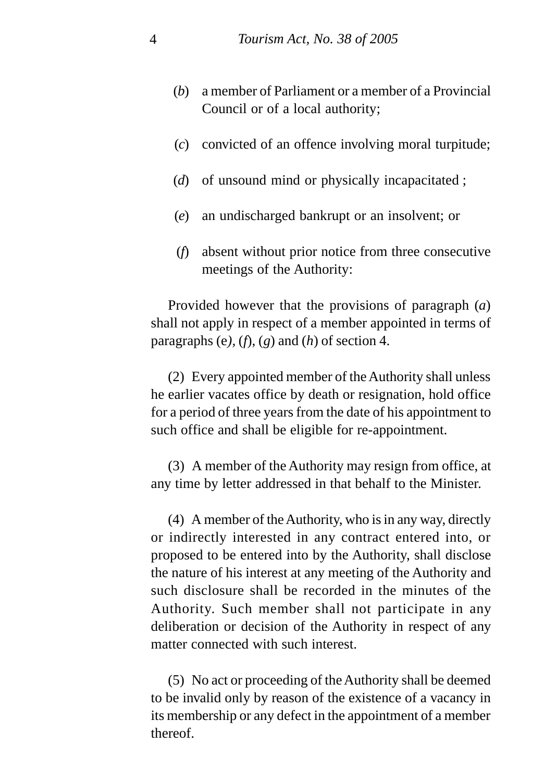- (*b*) a member of Parliament or a member of a Provincial Council or of a local authority;
- (*c*) convicted of an offence involving moral turpitude;
- (*d*) of unsound mind or physically incapacitated ;
- (*e*) an undischarged bankrupt or an insolvent; or
- (*f*) absent without prior notice from three consecutive meetings of the Authority:

Provided however that the provisions of paragraph (*a*) shall not apply in respect of a member appointed in terms of paragraphs (e),  $(f)$ ,  $(g)$  and  $(h)$  of section 4.

(2) Every appointed member of the Authority shall unless he earlier vacates office by death or resignation, hold office for a period of three years from the date of his appointment to such office and shall be eligible for re-appointment.

(3) A member of the Authority may resign from office, at any time by letter addressed in that behalf to the Minister.

(4) A member of the Authority, who is in any way, directly or indirectly interested in any contract entered into, or proposed to be entered into by the Authority, shall disclose the nature of his interest at any meeting of the Authority and such disclosure shall be recorded in the minutes of the Authority. Such member shall not participate in any deliberation or decision of the Authority in respect of any matter connected with such interest.

(5) No act or proceeding of the Authority shall be deemed to be invalid only by reason of the existence of a vacancy in its membership or any defect in the appointment of a member thereof.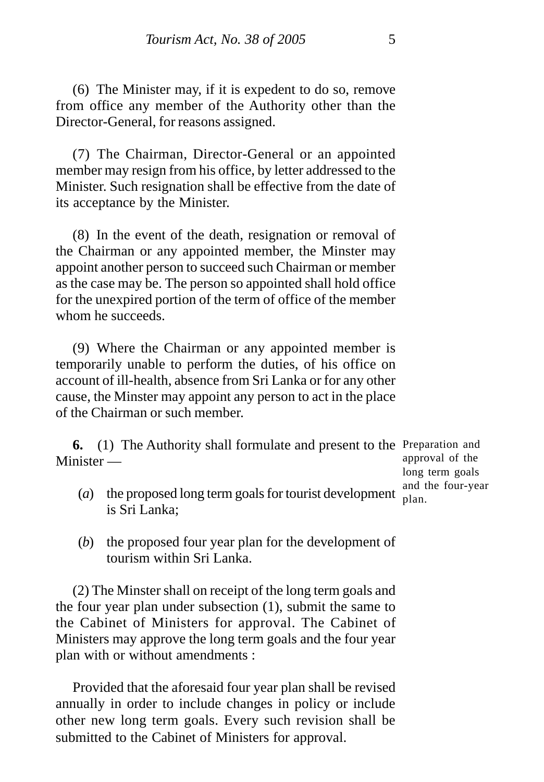(6) The Minister may, if it is expedent to do so, remove from office any member of the Authority other than the Director-General, for reasons assigned.

(7) The Chairman, Director-General or an appointed member may resign from his office, by letter addressed to the Minister. Such resignation shall be effective from the date of its acceptance by the Minister.

(8) In the event of the death, resignation or removal of the Chairman or any appointed member, the Minster may appoint another person to succeed such Chairman or member as the case may be. The person so appointed shall hold office for the unexpired portion of the term of office of the member whom he succeeds.

(9) Where the Chairman or any appointed member is temporarily unable to perform the duties, of his office on account of ill-health, absence from Sri Lanka or for any other cause, the Minster may appoint any person to act in the place of the Chairman or such member.

**6.** (1) The Authority shall formulate and present to the Preparation and Minister —

approval of the long term goals and the four-year plan.

- (*a*) the proposed long term goals for tourist development is Sri Lanka;
- (*b*) the proposed four year plan for the development of tourism within Sri Lanka.

(2) The Minster shall on receipt of the long term goals and the four year plan under subsection (1), submit the same to the Cabinet of Ministers for approval. The Cabinet of Ministers may approve the long term goals and the four year plan with or without amendments :

Provided that the aforesaid four year plan shall be revised annually in order to include changes in policy or include other new long term goals. Every such revision shall be submitted to the Cabinet of Ministers for approval.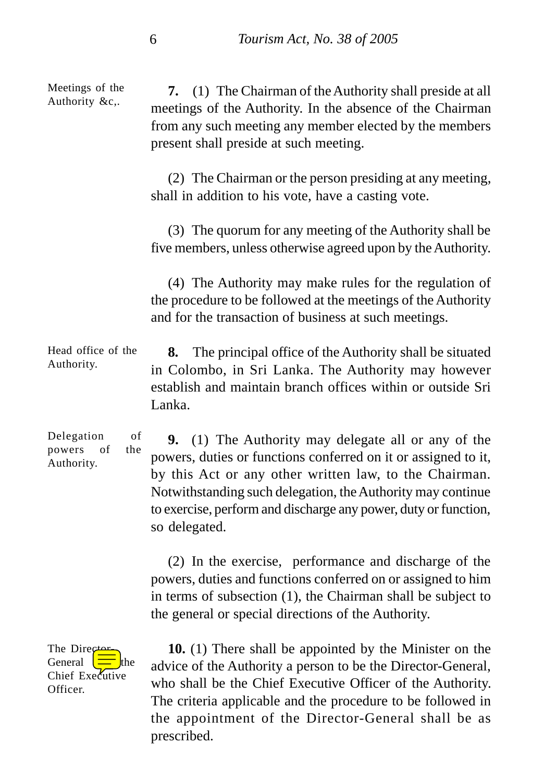**7.** (1) The Chairman of the Authority shall preside at all meetings of the Authority. In the absence of the Chairman from any such meeting any member elected by the members present shall preside at such meeting. (2) The Chairman or the person presiding at any meeting, shall in addition to his vote, have a casting vote. (3) The quorum for any meeting of the Authority shall be five members, unless otherwise agreed upon by the Authority. (4) The Authority may make rules for the regulation of the procedure to be followed at the meetings of the Authority and for the transaction of business at such meetings. **8.** The principal office of the Authority shall be situated in Colombo, in Sri Lanka. The Authority may however establish and maintain branch offices within or outside Sri Lanka. **9.** (1) The Authority may delegate all or any of the powers, duties or functions conferred on it or assigned to it, by this Act or any other written law, to the Chairman. Notwithstanding such delegation, the Authority may continue to exercise, perform and discharge any power, duty or function, so delegated. (2) In the exercise, performance and discharge of the Meetings of the Authority &c,. Head office of the Authority. Delegation of powers of the Authority.

powers, duties and functions conferred on or assigned to him in terms of subsection (1), the Chairman shall be subject to the general or special directions of the Authority.

The Director General  $\left| \equiv \right|$ the Chief Executive Officer.

**10.** (1) There shall be appointed by the Minister on the advice of the Authority a person to be the Director-General, who shall be the Chief Executive Officer of the Authority. The criteria applicable and the procedure to be followed in the appointment of the Director-General shall be as prescribed.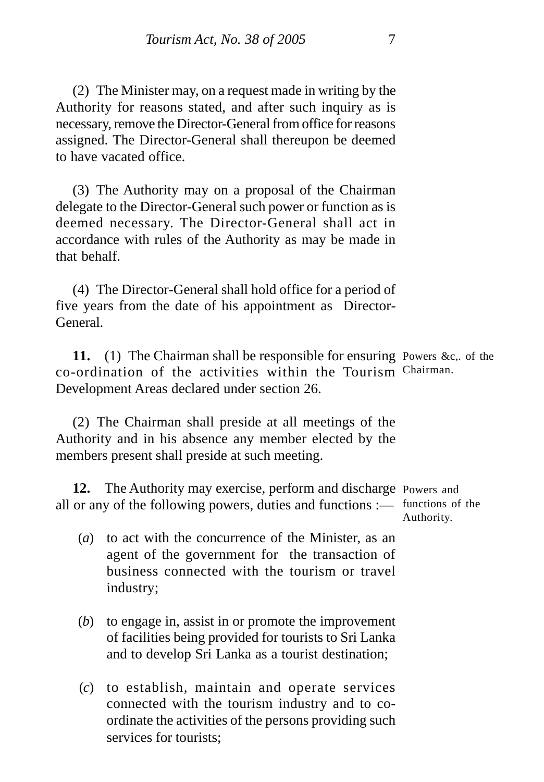(2) The Minister may, on a request made in writing by the Authority for reasons stated, and after such inquiry as is necessary, remove the Director-General from office for reasons assigned. The Director-General shall thereupon be deemed to have vacated office.

(3) The Authority may on a proposal of the Chairman delegate to the Director-General such power or function as is deemed necessary. The Director-General shall act in accordance with rules of the Authority as may be made in that behalf.

(4) The Director-General shall hold office for a period of five years from the date of his appointment as Director-General.

11. (1) The Chairman shall be responsible for ensuring Powers &c,. of the co-ordination of the activities within the Tourism Chairman. Development Areas declared under section 26.

(2) The Chairman shall preside at all meetings of the Authority and in his absence any member elected by the members present shall preside at such meeting.

**12.** The Authority may exercise, perform and discharge Powers and all or any of the following powers, duties and functions :— functions of the Authority.

- (*a*) to act with the concurrence of the Minister, as an agent of the government for the transaction of business connected with the tourism or travel industry;
- (*b*) to engage in, assist in or promote the improvement of facilities being provided for tourists to Sri Lanka and to develop Sri Lanka as a tourist destination;
- (*c*) to establish, maintain and operate services connected with the tourism industry and to coordinate the activities of the persons providing such services for tourists;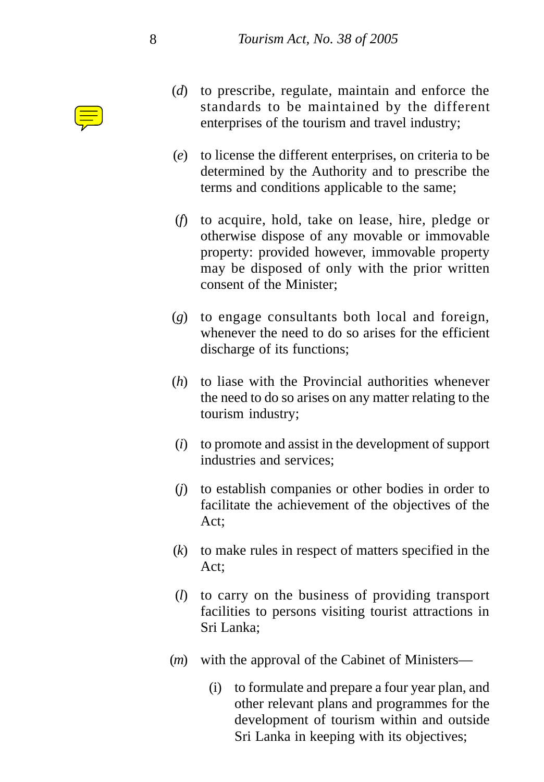

- (*d*) to prescribe, regulate, maintain and enforce the standards to be maintained by the different enterprises of the tourism and travel industry;
- (*e*) to license the different enterprises, on criteria to be determined by the Authority and to prescribe the terms and conditions applicable to the same;
- (*f*) to acquire, hold, take on lease, hire, pledge or otherwise dispose of any movable or immovable property: provided however, immovable property may be disposed of only with the prior written consent of the Minister;
- (*g*) to engage consultants both local and foreign, whenever the need to do so arises for the efficient discharge of its functions;
- (*h*) to liase with the Provincial authorities whenever the need to do so arises on any matter relating to the tourism industry;
- (*i*) to promote and assist in the development of support industries and services;
- (*j*) to establish companies or other bodies in order to facilitate the achievement of the objectives of the Act;
- (*k*) to make rules in respect of matters specified in the Act;
- (*l*) to carry on the business of providing transport facilities to persons visiting tourist attractions in Sri Lanka;
- (*m*) with the approval of the Cabinet of Ministers—
	- (i) to formulate and prepare a four year plan, and other relevant plans and programmes for the development of tourism within and outside Sri Lanka in keeping with its objectives;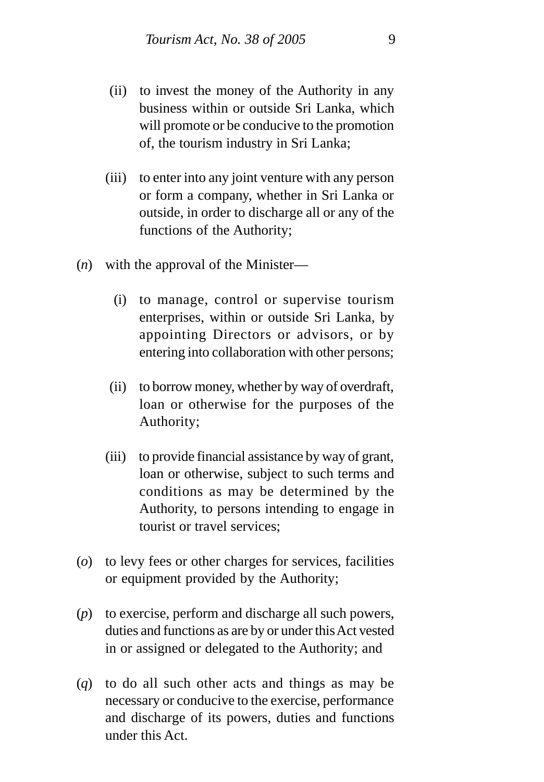- (ii) to invest the money of the Authority in any business within or outside Sri Lanka, which will promote or be conducive to the promotion of, the tourism industry in Sri Lanka;
- (iii) to enter into any joint venture with any person or form a company, whether in Sri Lanka or outside, in order to discharge all or any of the functions of the Authority;
- (*n*) with the approval of the Minister—
	- (i) to manage, control or supervise tourism enterprises, within or outside Sri Lanka, by appointing Directors or advisors, or by entering into collaboration with other persons;
	- (ii) to borrow money, whether by way of overdraft, loan or otherwise for the purposes of the Authority;
	- (iii) to provide financial assistance by way of grant, loan or otherwise, subject to such terms and conditions as may be determined by the Authority, to persons intending to engage in tourist or travel services;
- (*o*) to levy fees or other charges for services, facilities or equipment provided by the Authority;
- (*p*) to exercise, perform and discharge all such powers, duties and functions as are by or under this Act vested in or assigned or delegated to the Authority; and
- (*q*) to do all such other acts and things as may be necessary or conducive to the exercise, performance and discharge of its powers, duties and functions under this Act.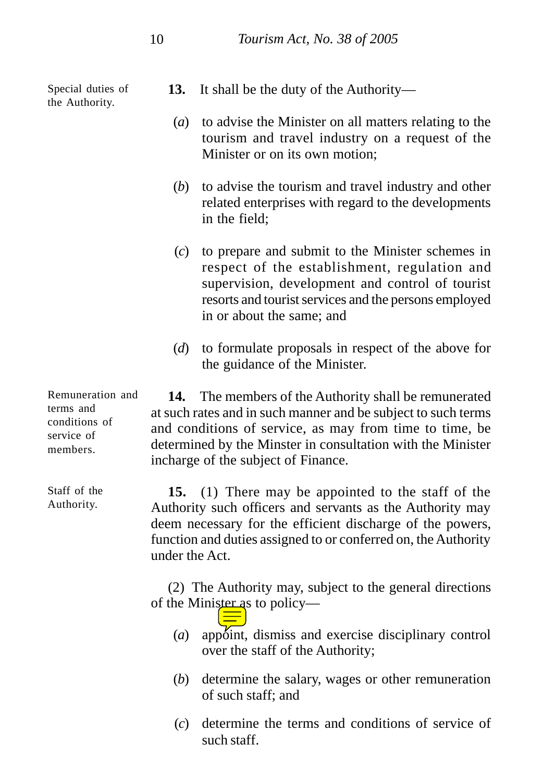Special duties of the Authority.

- **13.** It shall be the duty of the Authority—
	- (*a*) to advise the Minister on all matters relating to the tourism and travel industry on a request of the Minister or on its own motion;
	- (*b*) to advise the tourism and travel industry and other related enterprises with regard to the developments in the field;
	- (*c*) to prepare and submit to the Minister schemes in respect of the establishment, regulation and supervision, development and control of tourist resorts and tourist services and the persons employed in or about the same; and
	- (*d*) to formulate proposals in respect of the above for the guidance of the Minister.

**14.** The members of the Authority shall be remunerated at such rates and in such manner and be subject to such terms and conditions of service, as may from time to time, be determined by the Minster in consultation with the Minister incharge of the subject of Finance.

**15.** (1) There may be appointed to the staff of the Authority such officers and servants as the Authority may deem necessary for the efficient discharge of the powers, function and duties assigned to or conferred on, the Authority under the Act.

(2) The Authority may, subject to the general directions of the Minister as to policy—

- (*a*) appoint, dismiss and exercise disciplinary control over the staff of the Authority;
- (*b*) determine the salary, wages or other remuneration of such staff; and
- (*c*) determine the terms and conditions of service of such staff.

Remuneration and terms and conditions of service of members.

Staff of the Authority.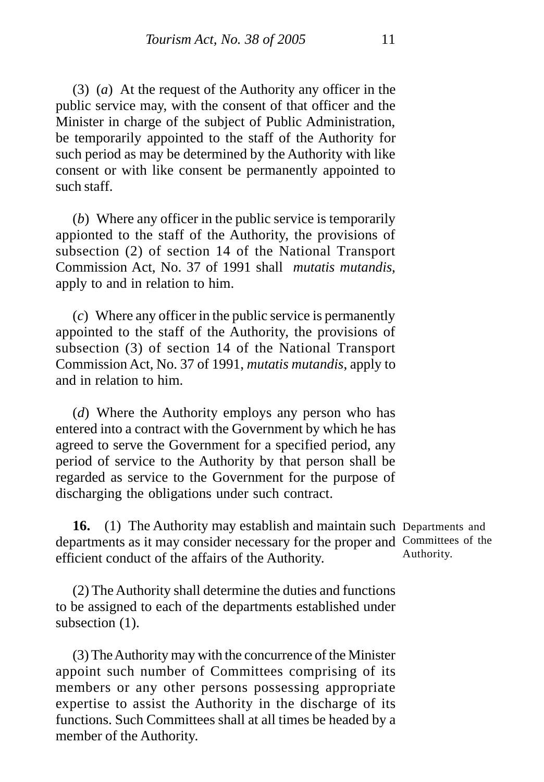(3) (*a*) At the request of the Authority any officer in the public service may, with the consent of that officer and the Minister in charge of the subject of Public Administration, be temporarily appointed to the staff of the Authority for such period as may be determined by the Authority with like consent or with like consent be permanently appointed to such staff.

(*b*) Where any officer in the public service is temporarily appionted to the staff of the Authority, the provisions of subsection (2) of section 14 of the National Transport Commission Act, No. 37 of 1991 shall *mutatis mutandis*, apply to and in relation to him.

(*c*) Where any officer in the public service is permanently appointed to the staff of the Authority, the provisions of subsection (3) of section 14 of the National Transport Commission Act, No. 37 of 1991, *mutatis mutandis*, apply to and in relation to him.

(*d*) Where the Authority employs any person who has entered into a contract with the Government by which he has agreed to serve the Government for a specified period, any period of service to the Authority by that person shall be regarded as service to the Government for the purpose of discharging the obligations under such contract.

**16.** (1) The Authority may establish and maintain such Departments and departments as it may consider necessary for the proper and Committees of the efficient conduct of the affairs of the Authority. Authority.

(2) The Authority shall determine the duties and functions to be assigned to each of the departments established under subsection  $(1)$ .

(3) The Authority may with the concurrence of the Minister appoint such number of Committees comprising of its members or any other persons possessing appropriate expertise to assist the Authority in the discharge of its functions. Such Committees shall at all times be headed by a member of the Authority.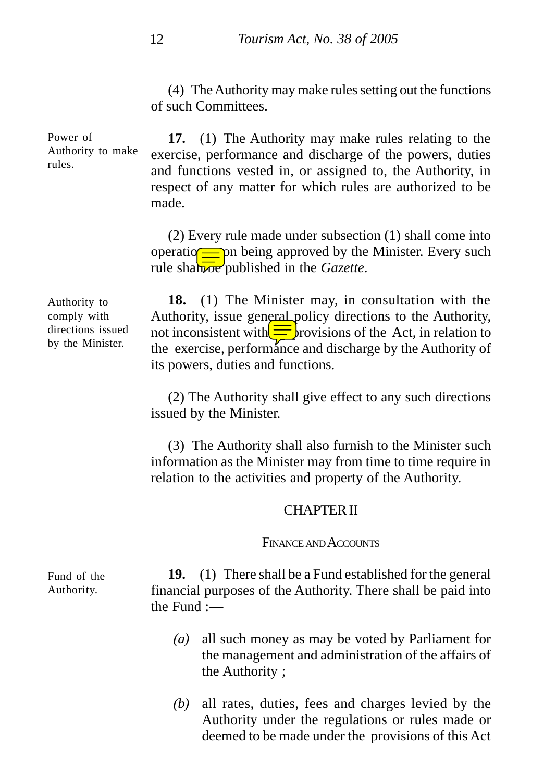(4) The Authority may make rules setting out the functions of such Committees.

**17.** (1) The Authority may make rules relating to the exercise, performance and discharge of the powers, duties and functions vested in, or assigned to, the Authority, in respect of any matter for which rules are authorized to be made. Power of Authority to make

> (2) Every rule made under subsection (1) shall come into operation being approved by the Minister. Every such rule shall be published in the *Gazette*.

Authority to comply with directions issued by the Minister.

rules.

**18.** (1) The Minister may, in consultation with the Authority, issue general policy directions to the Authority, not inconsistent with  $\equiv$  provisions of the Act, in relation to the exercise, performance and discharge by the Authority of its powers, duties and functions.

(2) The Authority shall give effect to any such directions issued by the Minister.

(3) The Authority shall also furnish to the Minister such information as the Minister may from time to time require in relation to the activities and property of the Authority.

#### CHAPTER II

#### FINANCE AND ACCOUNTS

**19.** (1) There shall be a Fund established for the general financial purposes of the Authority. There shall be paid into the Fund :—

- *(a)* all such money as may be voted by Parliament for the management and administration of the affairs of the Authority ;
- *(b)* all rates, duties, fees and charges levied by the Authority under the regulations or rules made or deemed to be made under the provisions of this Act

Fund of the Authority.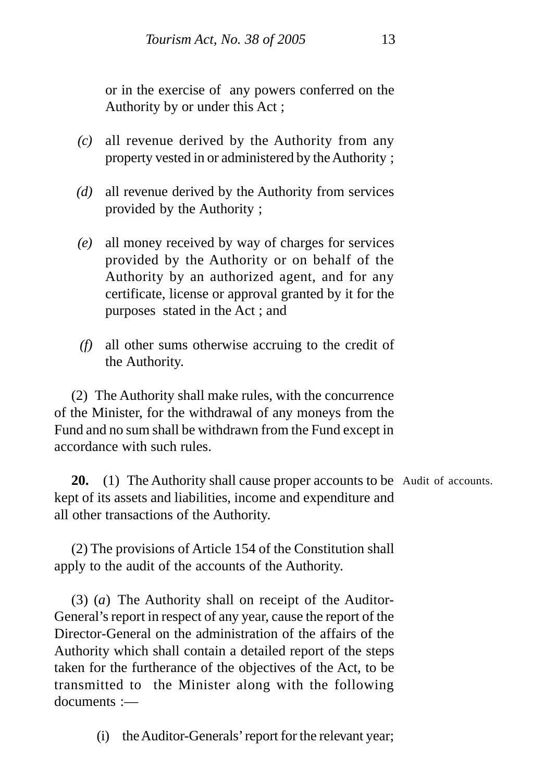or in the exercise of any powers conferred on the Authority by or under this Act ;

- *(c)* all revenue derived by the Authority from any property vested in or administered by the Authority ;
- *(d)* all revenue derived by the Authority from services provided by the Authority ;
- *(e)* all money received by way of charges for services provided by the Authority or on behalf of the Authority by an authorized agent, and for any certificate, license or approval granted by it for the purposes stated in the Act ; and
- *(f)* all other sums otherwise accruing to the credit of the Authority.

(2) The Authority shall make rules, with the concurrence of the Minister, for the withdrawal of any moneys from the Fund and no sum shall be withdrawn from the Fund except in accordance with such rules.

20. (1) The Authority shall cause proper accounts to be Audit of accounts. kept of its assets and liabilities, income and expenditure and all other transactions of the Authority.

(2) The provisions of Article 154 of the Constitution shall apply to the audit of the accounts of the Authority.

(3) (*a*) The Authority shall on receipt of the Auditor-General's report in respect of any year, cause the report of the Director-General on the administration of the affairs of the Authority which shall contain a detailed report of the steps taken for the furtherance of the objectives of the Act, to be transmitted to the Minister along with the following documents :—

(i) the Auditor-Generals' report for the relevant year;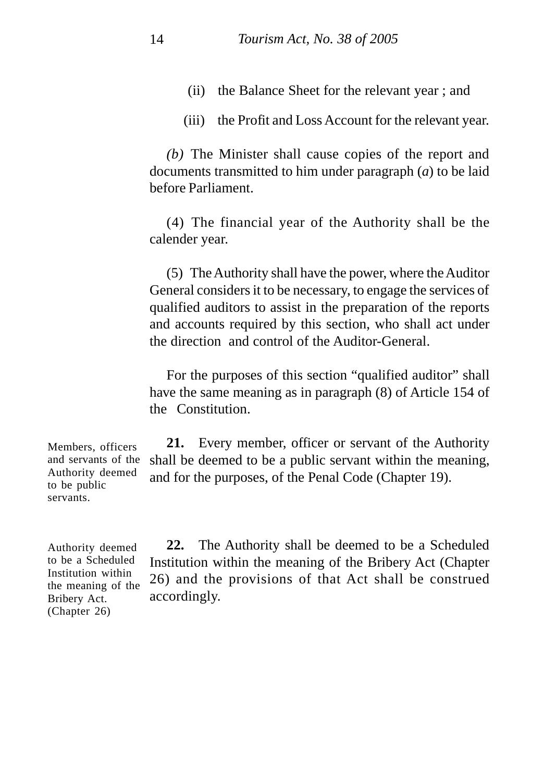- (ii) the Balance Sheet for the relevant year ; and
- (iii) the Profit and Loss Account for the relevant year.

*(b)* The Minister shall cause copies of the report and documents transmitted to him under paragraph (*a*) to be laid before Parliament.

(4) The financial year of the Authority shall be the calender year.

(5) The Authority shall have the power, where the Auditor General considers it to be necessary, to engage the services of qualified auditors to assist in the preparation of the reports and accounts required by this section, who shall act under the direction and control of the Auditor-General.

For the purposes of this section "qualified auditor" shall have the same meaning as in paragraph (8) of Article 154 of the Constitution.

**21.** Every member, officer or servant of the Authority shall be deemed to be a public servant within the meaning, and for the purposes, of the Penal Code (Chapter 19). Members, officers and servants of the Authority deemed to be public servants.

Authority deemed to be a Scheduled Institution within the meaning of the Bribery Act. (Chapter 26)

**22.** The Authority shall be deemed to be a Scheduled Institution within the meaning of the Bribery Act (Chapter 26) and the provisions of that Act shall be construed accordingly.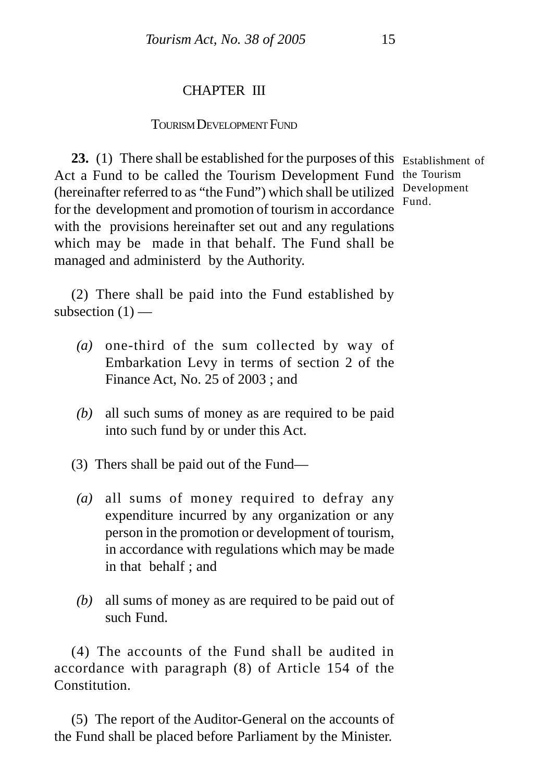# CHAPTER III

### TOURISM DEVELOPMENT FUND

**23.** (1) There shall be established for the purposes of this Establishment of Act a Fund to be called the Tourism Development Fund the Tourism (hereinafter referred to as "the Fund") which shall be utilized Development for the development and promotion of tourism in accordance with the provisions hereinafter set out and any regulations which may be made in that behalf. The Fund shall be managed and administerd by the Authority.

Fund.

(2) There shall be paid into the Fund established by subsection  $(1)$  —

- *(a)* one-third of the sum collected by way of Embarkation Levy in terms of section 2 of the Finance Act, No. 25 of 2003 ; and
- *(b)* all such sums of money as are required to be paid into such fund by or under this Act.
- (3) Thers shall be paid out of the Fund—
- *(a)* all sums of money required to defray any expenditure incurred by any organization or any person in the promotion or development of tourism, in accordance with regulations which may be made in that behalf ; and
- *(b)* all sums of money as are required to be paid out of such Fund.

(4) The accounts of the Fund shall be audited in accordance with paragraph (8) of Article 154 of the **Constitution** 

(5) The report of the Auditor-General on the accounts of the Fund shall be placed before Parliament by the Minister.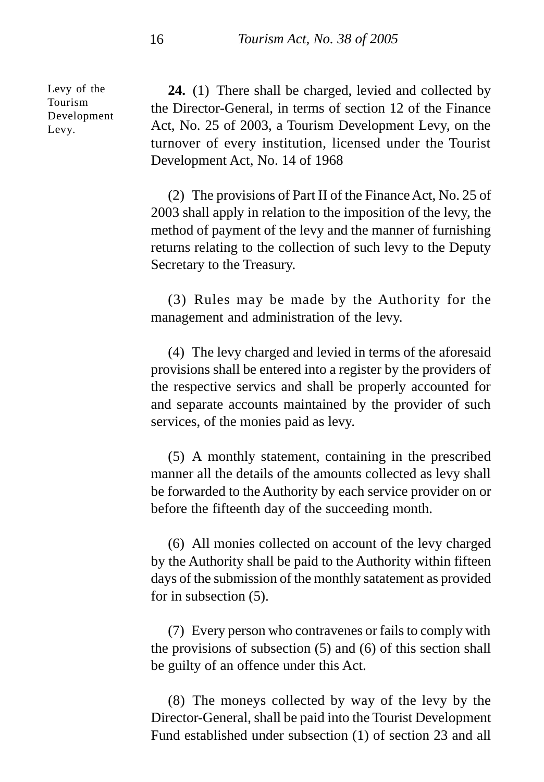Levy of the Tourism Development Levy.

**24.** (1) There shall be charged, levied and collected by the Director-General, in terms of section 12 of the Finance Act, No. 25 of 2003, a Tourism Development Levy, on the turnover of every institution, licensed under the Tourist Development Act, No. 14 of 1968

(2) The provisions of Part II of the Finance Act, No. 25 of 2003 shall apply in relation to the imposition of the levy, the method of payment of the levy and the manner of furnishing returns relating to the collection of such levy to the Deputy Secretary to the Treasury.

(3) Rules may be made by the Authority for the management and administration of the levy.

(4) The levy charged and levied in terms of the aforesaid provisions shall be entered into a register by the providers of the respective servics and shall be properly accounted for and separate accounts maintained by the provider of such services, of the monies paid as levy.

(5) A monthly statement, containing in the prescribed manner all the details of the amounts collected as levy shall be forwarded to the Authority by each service provider on or before the fifteenth day of the succeeding month.

(6) All monies collected on account of the levy charged by the Authority shall be paid to the Authority within fifteen days of the submission of the monthly satatement as provided for in subsection (5).

(7) Every person who contravenes or fails to comply with the provisions of subsection (5) and (6) of this section shall be guilty of an offence under this Act.

(8) The moneys collected by way of the levy by the Director-General, shall be paid into the Tourist Development Fund established under subsection (1) of section 23 and all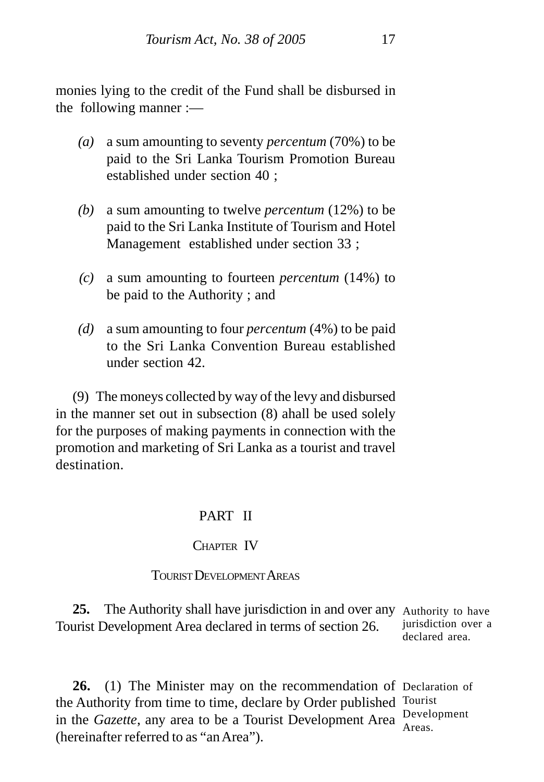monies lying to the credit of the Fund shall be disbursed in the following manner :—

- *(a)* a sum amounting to seventy *percentum* (70%) to be paid to the Sri Lanka Tourism Promotion Bureau established under section 40 ;
- *(b)* a sum amounting to twelve *percentum* (12%) to be paid to the Sri Lanka Institute of Tourism and Hotel Management established under section 33 ;
- *(c)* a sum amounting to fourteen *percentum* (14%) to be paid to the Authority ; and
- *(d)* a sum amounting to four *percentum* (4%) to be paid to the Sri Lanka Convention Bureau established under section 42.

(9) The moneys collected by way of the levy and disbursed in the manner set out in subsection (8) ahall be used solely for the purposes of making payments in connection with the promotion and marketing of Sri Lanka as a tourist and travel destination.

# PART II

# CHAPTER IV

## TOURIST DEVELOPMENT AREAS

**25.** The Authority shall have jurisdiction in and over any Authority to have Tourist Development Area declared in terms of section 26. jurisdiction over a declared area.

**26.** (1) The Minister may on the recommendation of Declaration of the Authority from time to time, declare by Order published Tourist in the *Gazette*, any area to be a Tourist Development Area Development (hereinafter referred to as "an Area"). Areas.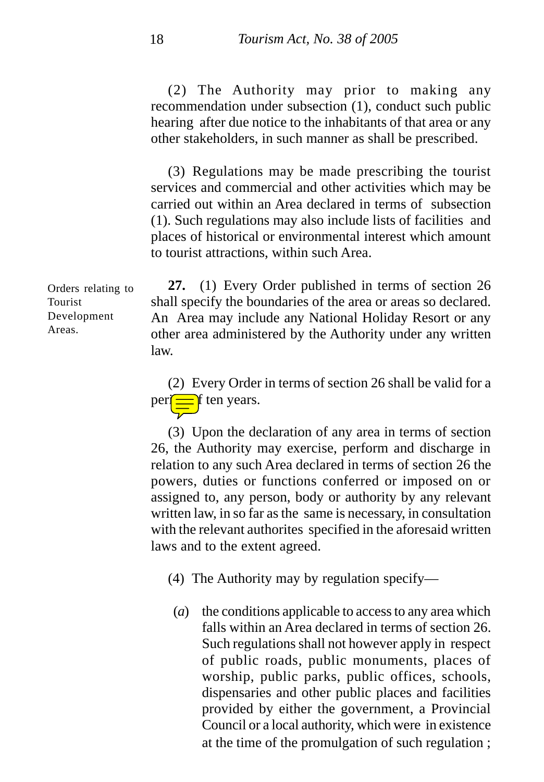(2) The Authority may prior to making any recommendation under subsection (1), conduct such public hearing after due notice to the inhabitants of that area or any other stakeholders, in such manner as shall be prescribed.

(3) Regulations may be made prescribing the tourist services and commercial and other activities which may be carried out within an Area declared in terms of subsection (1). Such regulations may also include lists of facilities and places of historical or environmental interest which amount to tourist attractions, within such Area.

**27.** (1) Every Order published in terms of section 26 shall specify the boundaries of the area or areas so declared. An Area may include any National Holiday Resort or any other area administered by the Authority under any written law. Orders relating to

> (2) Every Order in terms of section 26 shall be valid for a  $per$   $\equiv$  f ten years.

> (3) Upon the declaration of any area in terms of section 26, the Authority may exercise, perform and discharge in relation to any such Area declared in terms of section 26 the powers, duties or functions conferred or imposed on or assigned to, any person, body or authority by any relevant written law, in so far as the same is necessary, in consultation with the relevant authorites specified in the aforesaid written laws and to the extent agreed.

(4) The Authority may by regulation specify—

(*a*) the conditions applicable to access to any area which falls within an Area declared in terms of section 26. Such regulations shall not however apply in respect of public roads, public monuments, places of worship, public parks, public offices, schools, dispensaries and other public places and facilities provided by either the government, a Provincial Council or a local authority, which were in existence at the time of the promulgation of such regulation ;

Tourist Development Areas.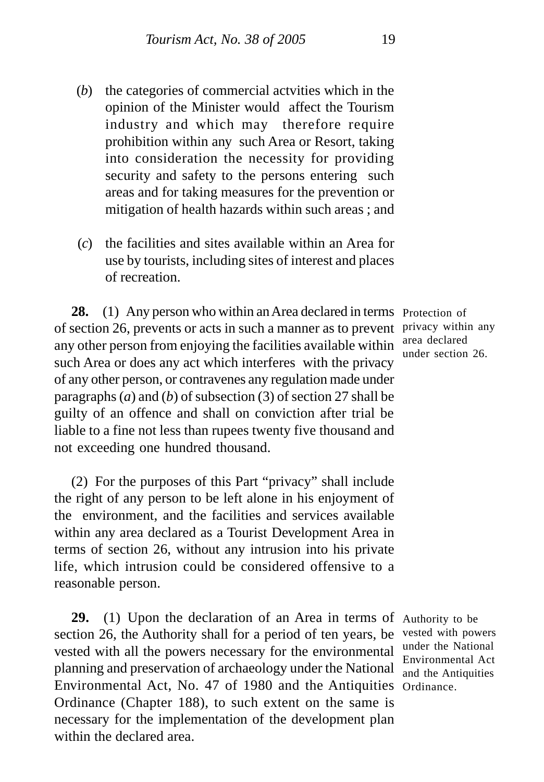- (*b*) the categories of commercial actvities which in the opinion of the Minister would affect the Tourism industry and which may therefore require prohibition within any such Area or Resort, taking into consideration the necessity for providing security and safety to the persons entering such areas and for taking measures for the prevention or mitigation of health hazards within such areas ; and
- (*c*) the facilities and sites available within an Area for use by tourists, including sites of interest and places of recreation.

28. (1) Any person who within an Area declared in terms Protection of of section 26, prevents or acts in such a manner as to prevent privacy within any any other person from enjoying the facilities available within such Area or does any act which interferes with the privacy of any other person, or contravenes any regulation made under paragraphs (*a*) and (*b*) of subsection (3) of section 27 shall be guilty of an offence and shall on conviction after trial be liable to a fine not less than rupees twenty five thousand and not exceeding one hundred thousand.

(2) For the purposes of this Part "privacy" shall include the right of any person to be left alone in his enjoyment of the environment, and the facilities and services available within any area declared as a Tourist Development Area in terms of section 26, without any intrusion into his private life, which intrusion could be considered offensive to a reasonable person.

29. (1) Upon the declaration of an Area in terms of Authority to be section 26, the Authority shall for a period of ten years, be vested with powers vested with all the powers necessary for the environmental planning and preservation of archaeology under the National Environmental Act, No. 47 of 1980 and the Antiquities Ordinance.Ordinance (Chapter 188), to such extent on the same is necessary for the implementation of the development plan within the declared area.

area declared under section 26.

under the National Environmental Act and the Antiquities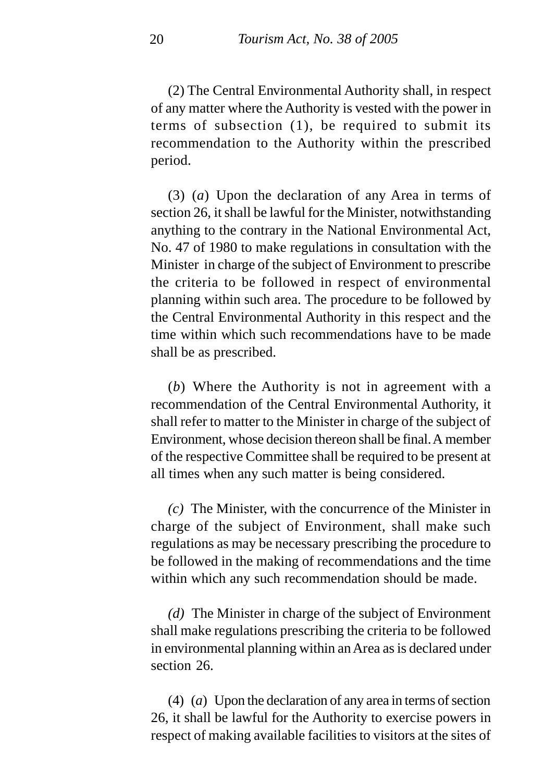(2) The Central Environmental Authority shall, in respect of any matter where the Authority is vested with the power in terms of subsection (1), be required to submit its recommendation to the Authority within the prescribed period.

(3) (*a*) Upon the declaration of any Area in terms of section 26, it shall be lawful for the Minister, notwithstanding anything to the contrary in the National Environmental Act, No. 47 of 1980 to make regulations in consultation with the Minister in charge of the subject of Environment to prescribe the criteria to be followed in respect of environmental planning within such area. The procedure to be followed by the Central Environmental Authority in this respect and the time within which such recommendations have to be made shall be as prescribed.

(*b*) Where the Authority is not in agreement with a recommendation of the Central Environmental Authority, it shall refer to matter to the Minister in charge of the subject of Environment, whose decision thereon shall be final. A member of the respective Committee shall be required to be present at all times when any such matter is being considered.

*(c)* The Minister, with the concurrence of the Minister in charge of the subject of Environment, shall make such regulations as may be necessary prescribing the procedure to be followed in the making of recommendations and the time within which any such recommendation should be made.

*(d)* The Minister in charge of the subject of Environment shall make regulations prescribing the criteria to be followed in environmental planning within an Area as is declared under section 26.

(4) (*a*) Upon the declaration of any area in terms of section 26, it shall be lawful for the Authority to exercise powers in respect of making available facilities to visitors at the sites of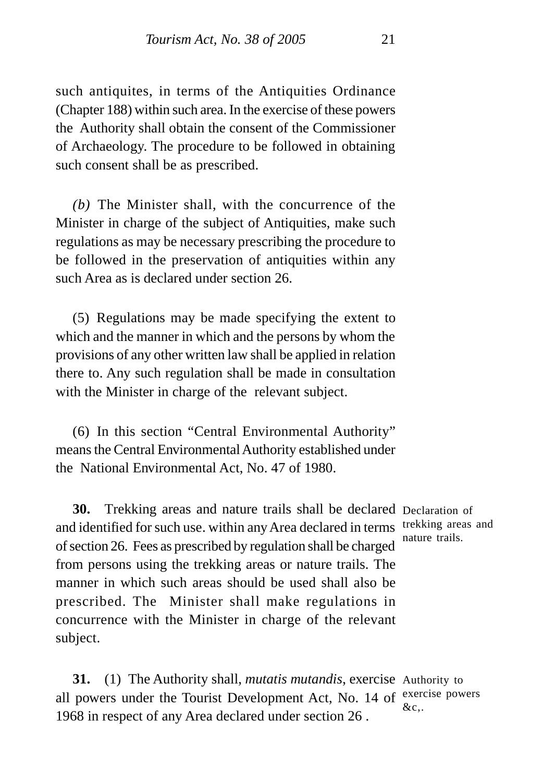such antiquites, in terms of the Antiquities Ordinance (Chapter 188) within such area. In the exercise of these powers the Authority shall obtain the consent of the Commissioner of Archaeology. The procedure to be followed in obtaining such consent shall be as prescribed.

*(b)* The Minister shall, with the concurrence of the Minister in charge of the subject of Antiquities, make such regulations as may be necessary prescribing the procedure to be followed in the preservation of antiquities within any such Area as is declared under section 26.

(5) Regulations may be made specifying the extent to which and the manner in which and the persons by whom the provisions of any other written law shall be applied in relation there to. Any such regulation shall be made in consultation with the Minister in charge of the relevant subject.

(6) In this section "Central Environmental Authority" means the Central Environmental Authority established under the National Environmental Act, No. 47 of 1980.

**30.** Trekking areas and nature trails shall be declared Declaration of and identified for such use. within any Area declared in terms trekking areas and of section 26. Fees as prescribed by regulation shall be charged nature trails. from persons using the trekking areas or nature trails. The manner in which such areas should be used shall also be prescribed. The Minister shall make regulations in concurrence with the Minister in charge of the relevant subject.

**31.** (1) The Authority shall, *mutatis mutandis*, exercise Authority to all powers under the Tourist Development Act, No. 14 of  $e^{x}$  are powers 1968 in respect of any Area declared under section 26 . &c,.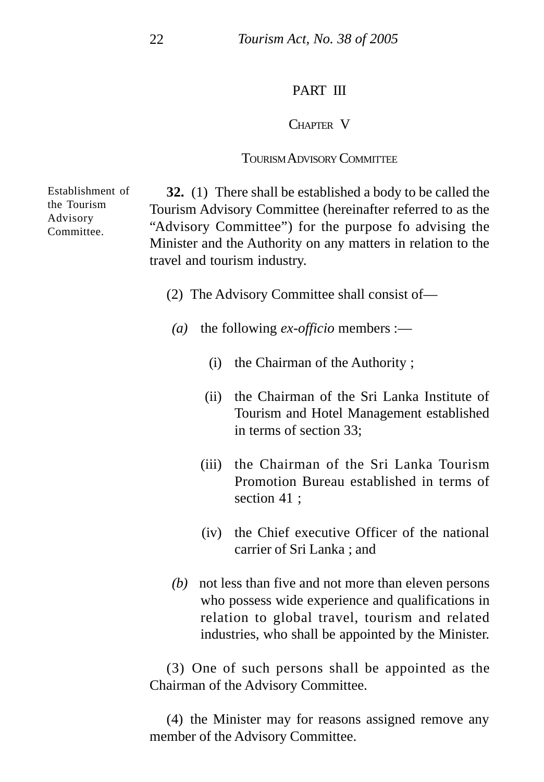## PART III

## CHAPTER V

## TOURISM ADVISORY COMMITTEE

Establishment of the Tourism Advisory Committee.

**32.** (1) There shall be established a body to be called the Tourism Advisory Committee (hereinafter referred to as the "Advisory Committee") for the purpose fo advising the Minister and the Authority on any matters in relation to the travel and tourism industry.

- (2) The Advisory Committee shall consist of—
- *(a)* the following *ex-officio* members :—
	- (i) the Chairman of the Authority ;
	- (ii) the Chairman of the Sri Lanka Institute of Tourism and Hotel Management established in terms of section 33;
	- (iii) the Chairman of the Sri Lanka Tourism Promotion Bureau established in terms of section 41 ;
	- (iv) the Chief executive Officer of the national carrier of Sri Lanka ; and
- *(b)* not less than five and not more than eleven persons who possess wide experience and qualifications in relation to global travel, tourism and related industries, who shall be appointed by the Minister.

(3) One of such persons shall be appointed as the Chairman of the Advisory Committee.

(4) the Minister may for reasons assigned remove any member of the Advisory Committee.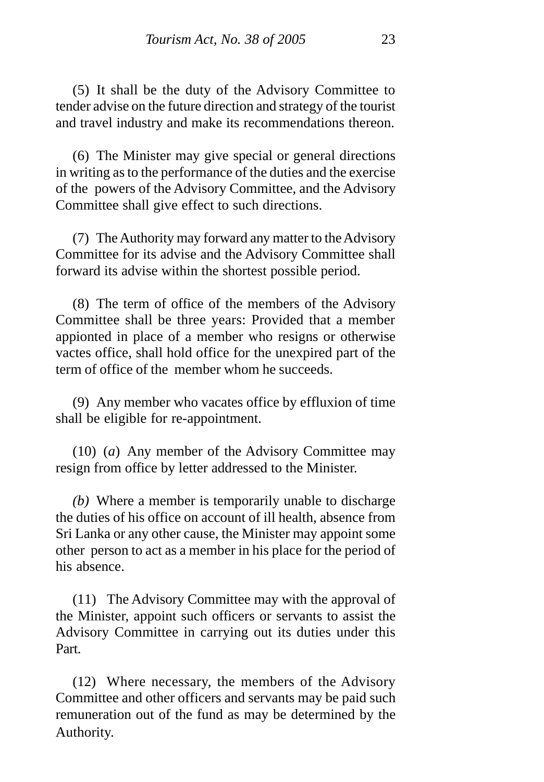(5) It shall be the duty of the Advisory Committee to tender advise on the future direction and strategy of the tourist and travel industry and make its recommendations thereon.

(6) The Minister may give special or general directions in writing as to the performance of the duties and the exercise of the powers of the Advisory Committee, and the Advisory Committee shall give effect to such directions.

(7) The Authority may forward any matter to the Advisory Committee for its advise and the Advisory Committee shall forward its advise within the shortest possible period.

(8) The term of office of the members of the Advisory Committee shall be three years: Provided that a member appionted in place of a member who resigns or otherwise vactes office, shall hold office for the unexpired part of the term of office of the member whom he succeeds.

(9) Any member who vacates office by effluxion of time shall be eligible for re-appointment.

(10) (*a*) Any member of the Advisory Committee may resign from office by letter addressed to the Minister.

*(b)* Where a member is temporarily unable to discharge the duties of his office on account of ill health, absence from Sri Lanka or any other cause, the Minister may appoint some other person to act as a member in his place for the period of his absence.

(11) The Advisory Committee may with the approval of the Minister, appoint such officers or servants to assist the Advisory Committee in carrying out its duties under this Part.

(12) Where necessary, the members of the Advisory Committee and other officers and servants may be paid such remuneration out of the fund as may be determined by the Authority.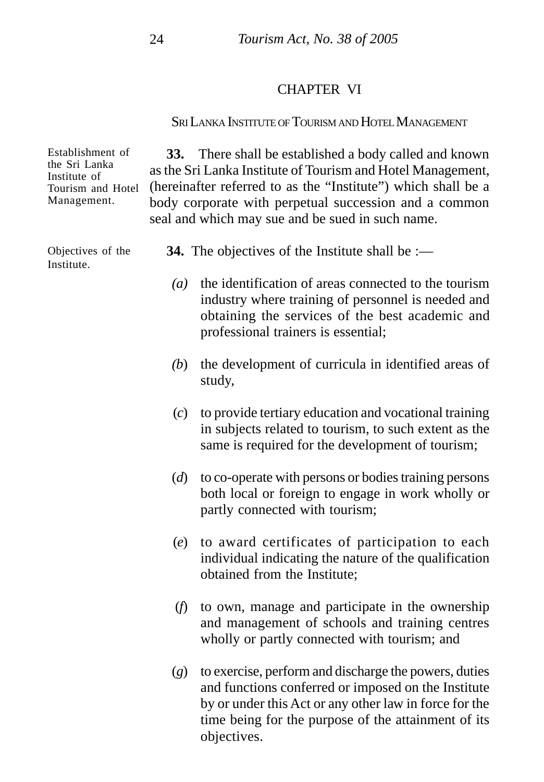#### CHAPTER VI

## SRI LANKA INSTITUTE OF TOURISM AND HOTEL MANAGEMENT

**33.** There shall be established a body called and known as the Sri Lanka Institute of Tourism and Hotel Management, (hereinafter referred to as the "Institute") which shall be a body corporate with perpetual succession and a common seal and which may sue and be sued in such name.

**34.** The objectives of the Institute shall be :—

- *(a)* the identification of areas connected to the tourism industry where training of personnel is needed and obtaining the services of the best academic and professional trainers is essential;
- *(b*) the development of curricula in identified areas of study,
- (*c*) to provide tertiary education and vocational training in subjects related to tourism, to such extent as the same is required for the development of tourism;
- (*d*) to co-operate with persons or bodies training persons both local or foreign to engage in work wholly or partly connected with tourism;
- (*e*) to award certificates of participation to each individual indicating the nature of the qualification obtained from the Institute;
- (*f*) to own, manage and participate in the ownership and management of schools and training centres wholly or partly connected with tourism; and
- (*g*) to exercise, perform and discharge the powers, duties and functions conferred or imposed on the Institute by or under this Act or any other law in force for the time being for the purpose of the attainment of its objectives.

Establishment of the Sri Lanka Institute of Tourism and Hotel Management.

Objectives of the Institute.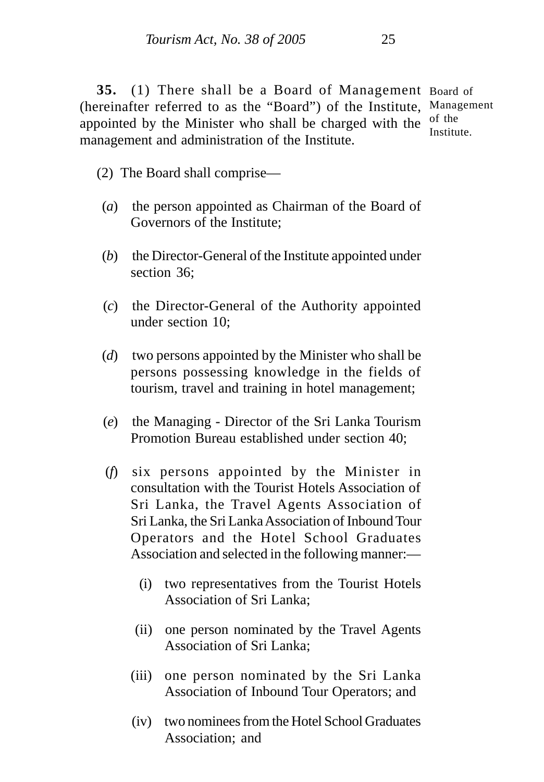**35.** (1) There shall be a Board of Management Board of (hereinafter referred to as the "Board") of the Institute, Management appointed by the Minister who shall be charged with the  $\frac{1}{2}$  of the management and administration of the Institute. Institute.

(2) The Board shall comprise—

- (*a*) the person appointed as Chairman of the Board of Governors of the Institute;
- (*b*) the Director-General of the Institute appointed under section 36;
- (*c*) the Director-General of the Authority appointed under section 10;
- (*d*) two persons appointed by the Minister who shall be persons possessing knowledge in the fields of tourism, travel and training in hotel management;
- (*e*) the Managing Director of the Sri Lanka Tourism Promotion Bureau established under section 40;
- (*f*) six persons appointed by the Minister in consultation with the Tourist Hotels Association of Sri Lanka, the Travel Agents Association of Sri Lanka, the Sri Lanka Association of Inbound Tour Operators and the Hotel School Graduates Association and selected in the following manner:—
	- (i) two representatives from the Tourist Hotels Association of Sri Lanka;
	- (ii) one person nominated by the Travel Agents Association of Sri Lanka;
	- (iii) one person nominated by the Sri Lanka Association of Inbound Tour Operators; and
	- (iv) two nominees from the Hotel School Graduates Association; and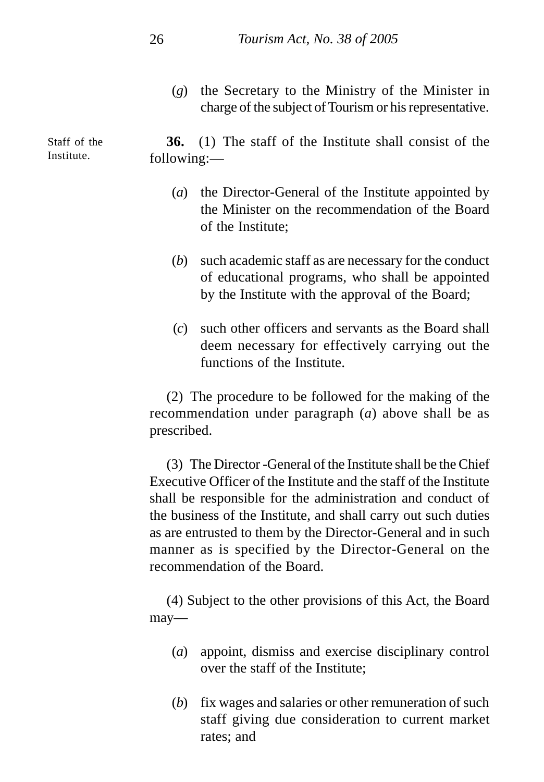(*g*) the Secretary to the Ministry of the Minister in charge of the subject of Tourism or his representative.

**36.** (1) The staff of the Institute shall consist of the following:—

- (*a*) the Director-General of the Institute appointed by the Minister on the recommendation of the Board of the Institute;
- (*b*) such academic staff as are necessary for the conduct of educational programs, who shall be appointed by the Institute with the approval of the Board;
- (*c*) such other officers and servants as the Board shall deem necessary for effectively carrying out the functions of the Institute.

(2) The procedure to be followed for the making of the recommendation under paragraph (*a*) above shall be as prescribed.

(3) The Director -General of the Institute shall be the Chief Executive Officer of the Institute and the staff of the Institute shall be responsible for the administration and conduct of the business of the Institute, and shall carry out such duties as are entrusted to them by the Director-General and in such manner as is specified by the Director-General on the recommendation of the Board.

(4) Subject to the other provisions of this Act, the Board may—

- (*a*) appoint, dismiss and exercise disciplinary control over the staff of the Institute;
- (*b*) fix wages and salaries or other remuneration of such staff giving due consideration to current market rates; and

Staff of the Institute.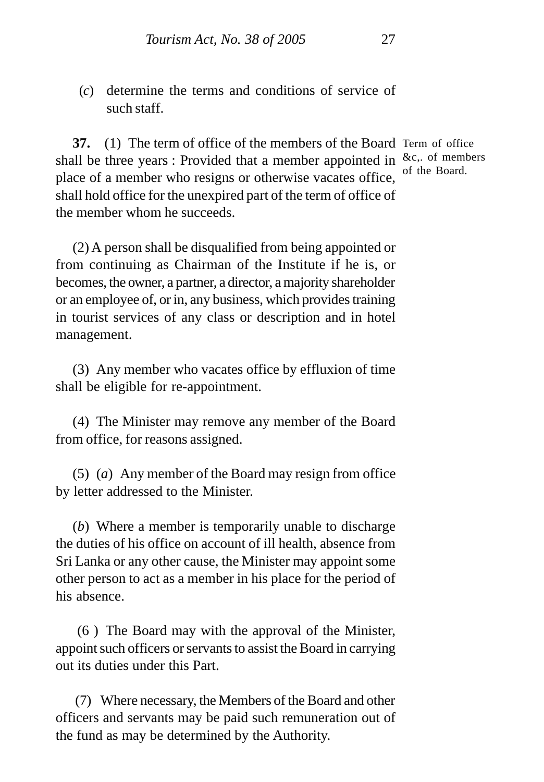(*c*) determine the terms and conditions of service of such staff.

**37.** (1) The term of office of the members of the Board Term of office shall be three years : Provided that a member appointed in &c, of members place of a member who resigns or otherwise vacates office, shall hold office for the unexpired part of the term of office of the member whom he succeeds.

(2) A person shall be disqualified from being appointed or from continuing as Chairman of the Institute if he is, or becomes, the owner, a partner, a director, a majority shareholder or an employee of, or in, any business, which provides training in tourist services of any class or description and in hotel management.

(3) Any member who vacates office by effluxion of time shall be eligible for re-appointment.

(4) The Minister may remove any member of the Board from office, for reasons assigned.

(5) (*a*) Any member of the Board may resign from office by letter addressed to the Minister.

(*b*) Where a member is temporarily unable to discharge the duties of his office on account of ill health, absence from Sri Lanka or any other cause, the Minister may appoint some other person to act as a member in his place for the period of his absence.

 (6 ) The Board may with the approval of the Minister, appoint such officers or servants to assist the Board in carrying out its duties under this Part.

 (7) Where necessary, the Members of the Board and other officers and servants may be paid such remuneration out of the fund as may be determined by the Authority.

of the Board.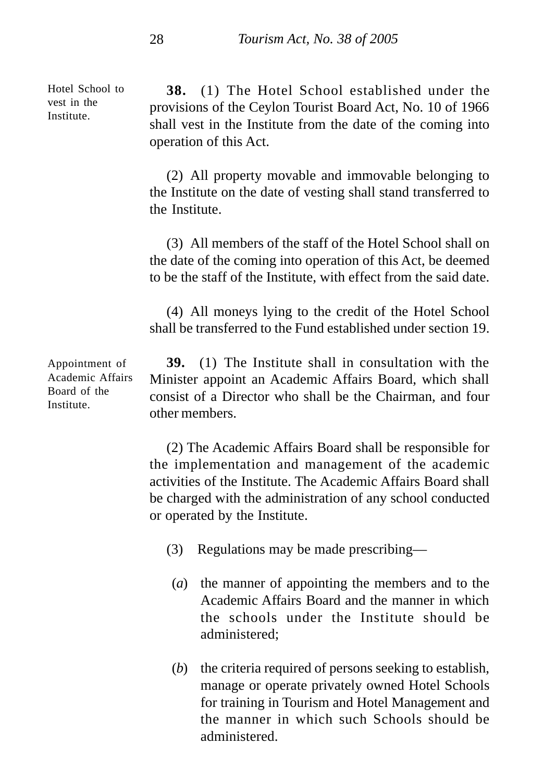Hotel School to vest in the Institute.

**38.** (1) The Hotel School established under the provisions of the Ceylon Tourist Board Act, No. 10 of 1966 shall vest in the Institute from the date of the coming into operation of this Act.

(2) All property movable and immovable belonging to the Institute on the date of vesting shall stand transferred to the Institute.

(3) All members of the staff of the Hotel School shall on the date of the coming into operation of this Act, be deemed to be the staff of the Institute, with effect from the said date.

(4) All moneys lying to the credit of the Hotel School shall be transferred to the Fund established under section 19.

**39.** (1) The Institute shall in consultation with the Minister appoint an Academic Affairs Board, which shall consist of a Director who shall be the Chairman, and four other members.

(2) The Academic Affairs Board shall be responsible for the implementation and management of the academic activities of the Institute. The Academic Affairs Board shall be charged with the administration of any school conducted or operated by the Institute.

- (3) Regulations may be made prescribing—
	- (*a*) the manner of appointing the members and to the Academic Affairs Board and the manner in which the schools under the Institute should be administered;
	- (*b*) the criteria required of persons seeking to establish, manage or operate privately owned Hotel Schools for training in Tourism and Hotel Management and the manner in which such Schools should be administered.

Appointment of Academic Affairs Board of the Institute.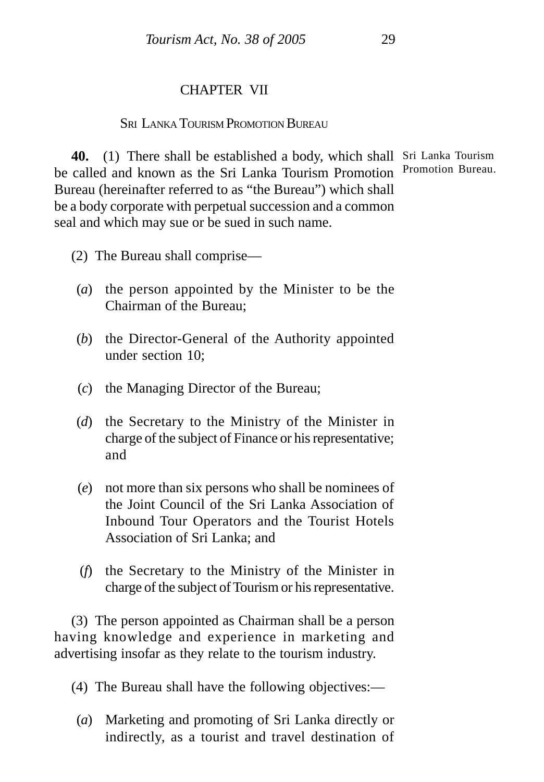# CHAPTER VII

#### **SEI LANKA TOURISM PROMOTION BUREAU**

**40.** (1) There shall be established a body, which shall Sri Lanka Tourism be called and known as the Sri Lanka Tourism Promotion Bureau (hereinafter referred to as "the Bureau") which shall be a body corporate with perpetual succession and a common seal and which may sue or be sued in such name. Promotion Bureau.

- (2) The Bureau shall comprise—
- (*a*) the person appointed by the Minister to be the Chairman of the Bureau;
- (*b*) the Director-General of the Authority appointed under section 10;
- (*c*) the Managing Director of the Bureau;
- (*d*) the Secretary to the Ministry of the Minister in charge of the subject of Finance or his representative; and
- (*e*) not more than six persons who shall be nominees of the Joint Council of the Sri Lanka Association of Inbound Tour Operators and the Tourist Hotels Association of Sri Lanka; and
- (*f*) the Secretary to the Ministry of the Minister in charge of the subject of Tourism or his representative.

(3) The person appointed as Chairman shall be a person having knowledge and experience in marketing and advertising insofar as they relate to the tourism industry.

(4) The Bureau shall have the following objectives:—

(*a*) Marketing and promoting of Sri Lanka directly or indirectly, as a tourist and travel destination of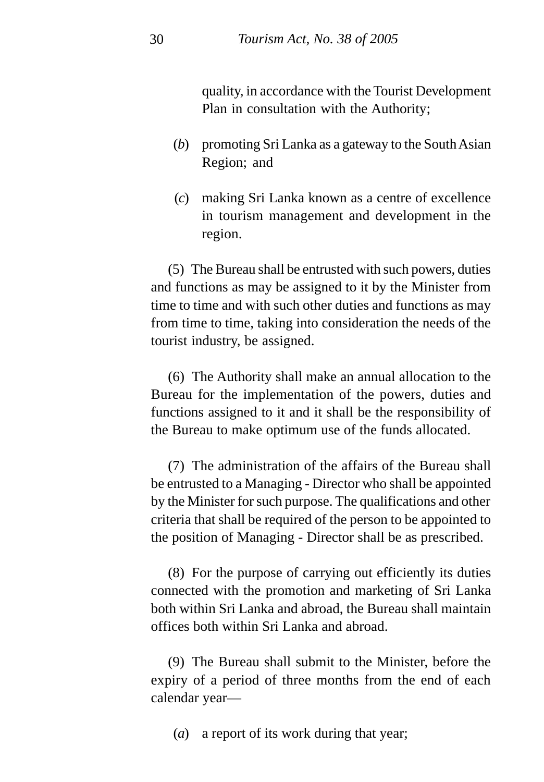quality, in accordance with the Tourist Development Plan in consultation with the Authority;

- (*b*) promoting Sri Lanka as a gateway to the South Asian Region; and
- (*c*) making Sri Lanka known as a centre of excellence in tourism management and development in the region.

(5) The Bureau shall be entrusted with such powers, duties and functions as may be assigned to it by the Minister from time to time and with such other duties and functions as may from time to time, taking into consideration the needs of the tourist industry, be assigned.

(6) The Authority shall make an annual allocation to the Bureau for the implementation of the powers, duties and functions assigned to it and it shall be the responsibility of the Bureau to make optimum use of the funds allocated.

(7) The administration of the affairs of the Bureau shall be entrusted to a Managing - Director who shall be appointed by the Minister for such purpose. The qualifications and other criteria that shall be required of the person to be appointed to the position of Managing - Director shall be as prescribed.

(8) For the purpose of carrying out efficiently its duties connected with the promotion and marketing of Sri Lanka both within Sri Lanka and abroad, the Bureau shall maintain offices both within Sri Lanka and abroad.

(9) The Bureau shall submit to the Minister, before the expiry of a period of three months from the end of each calendar year—

(*a*) a report of its work during that year;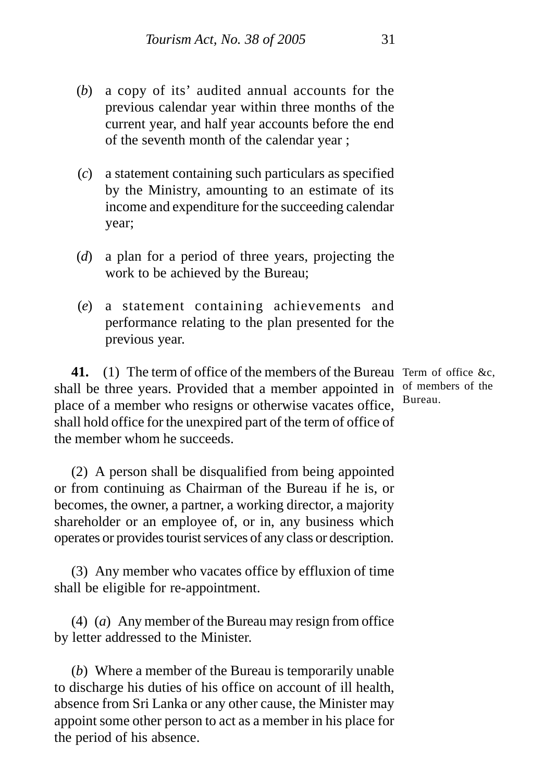- (*b*) a copy of its' audited annual accounts for the previous calendar year within three months of the current year, and half year accounts before the end of the seventh month of the calendar year ;
- (*c*) a statement containing such particulars as specified by the Ministry, amounting to an estimate of its income and expenditure for the succeeding calendar year;
- (*d*) a plan for a period of three years, projecting the work to be achieved by the Bureau;
- (*e*) a statement containing achievements and performance relating to the plan presented for the previous year.

**41.** (1) The term of office of the members of the Bureau Term of office &c, shall be three years. Provided that a member appointed in  $\sigma$ <sup>6</sup> members of the place of a member who resigns or otherwise vacates office, shall hold office for the unexpired part of the term of office of the member whom he succeeds.

(2) A person shall be disqualified from being appointed or from continuing as Chairman of the Bureau if he is, or becomes, the owner, a partner, a working director, a majority shareholder or an employee of, or in, any business which operates or provides tourist services of any class or description.

(3) Any member who vacates office by effluxion of time shall be eligible for re-appointment.

(4) (*a*) Any member of the Bureau may resign from office by letter addressed to the Minister.

(*b*) Where a member of the Bureau is temporarily unable to discharge his duties of his office on account of ill health, absence from Sri Lanka or any other cause, the Minister may appoint some other person to act as a member in his place for the period of his absence.

Bureau.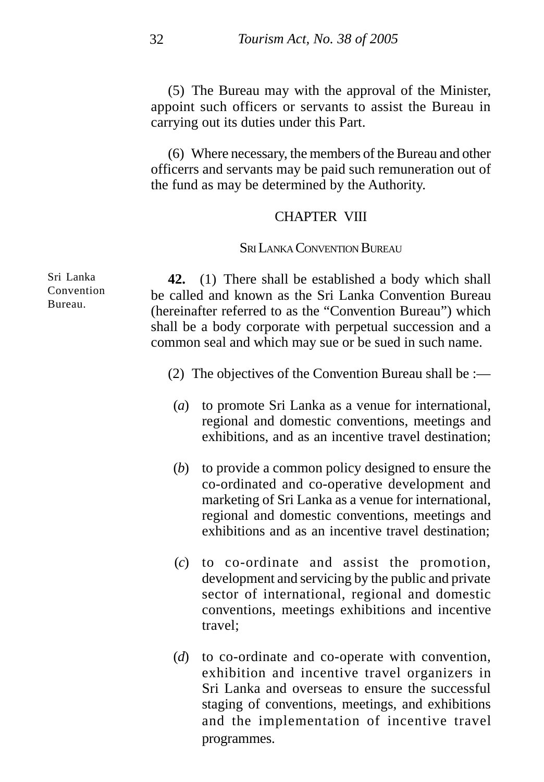(5) The Bureau may with the approval of the Minister, appoint such officers or servants to assist the Bureau in carrying out its duties under this Part.

(6) Where necessary, the members of the Bureau and other officerrs and servants may be paid such remuneration out of the fund as may be determined by the Authority.

#### CHAPTER VIII

#### SRI LANKA CONVENTION BUREAU

**42.** (1) There shall be established a body which shall be called and known as the Sri Lanka Convention Bureau (hereinafter referred to as the "Convention Bureau") which shall be a body corporate with perpetual succession and a common seal and which may sue or be sued in such name.

- (2) The objectives of the Convention Bureau shall be :—
- (*a*) to promote Sri Lanka as a venue for international, regional and domestic conventions, meetings and exhibitions, and as an incentive travel destination;
- (*b*) to provide a common policy designed to ensure the co-ordinated and co-operative development and marketing of Sri Lanka as a venue for international, regional and domestic conventions, meetings and exhibitions and as an incentive travel destination;
- (*c*) to co-ordinate and assist the promotion, development and servicing by the public and private sector of international, regional and domestic conventions, meetings exhibitions and incentive travel;
- (*d*) to co-ordinate and co-operate with convention, exhibition and incentive travel organizers in Sri Lanka and overseas to ensure the successful staging of conventions, meetings, and exhibitions and the implementation of incentive travel programmes.

Sri Lanka Convention Bureau.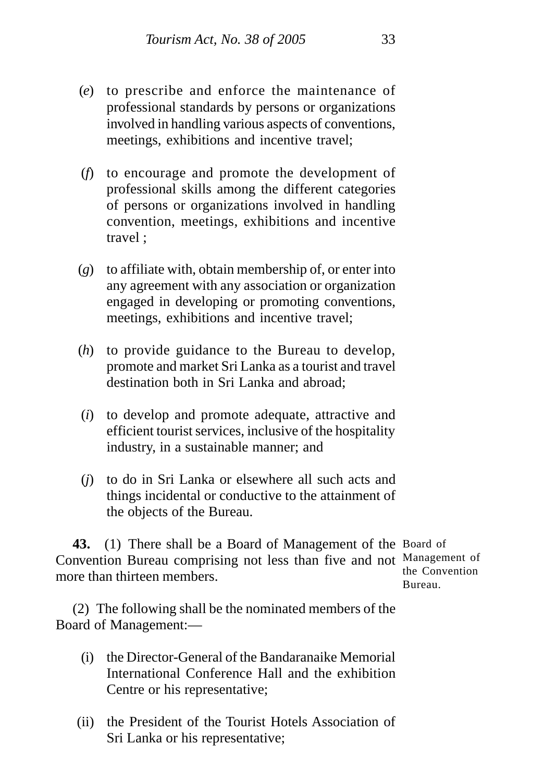- (*e*) to prescribe and enforce the maintenance of professional standards by persons or organizations involved in handling various aspects of conventions, meetings, exhibitions and incentive travel;
- (*f*) to encourage and promote the development of professional skills among the different categories of persons or organizations involved in handling convention, meetings, exhibitions and incentive travel ;
- (*g*) to affiliate with, obtain membership of, or enter into any agreement with any association or organization engaged in developing or promoting conventions, meetings, exhibitions and incentive travel;
- (*h*) to provide guidance to the Bureau to develop, promote and market Sri Lanka as a tourist and travel destination both in Sri Lanka and abroad;
- (*i*) to develop and promote adequate, attractive and efficient tourist services, inclusive of the hospitality industry, in a sustainable manner; and
- (*j*) to do in Sri Lanka or elsewhere all such acts and things incidental or conductive to the attainment of the objects of the Bureau.

**43.** (1) There shall be a Board of Management of the Board of Convention Bureau comprising not less than five and not Management of more than thirteen members. the Convention Bureau.

(2) The following shall be the nominated members of the Board of Management:—

- (i) the Director-General of the Bandaranaike Memorial International Conference Hall and the exhibition Centre or his representative;
- (ii) the President of the Tourist Hotels Association of Sri Lanka or his representative;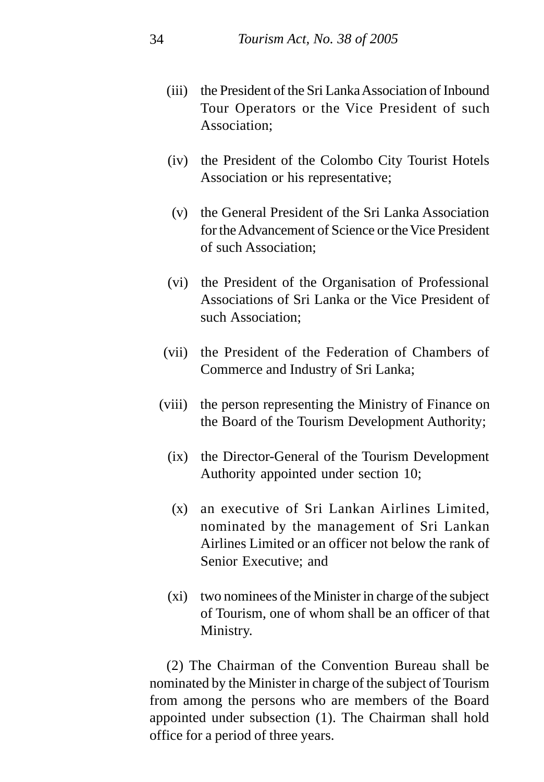- (iii) the President of the Sri Lanka Association of Inbound Tour Operators or the Vice President of such Association;
- (iv) the President of the Colombo City Tourist Hotels Association or his representative;
- (v) the General President of the Sri Lanka Association for the Advancement of Science or the Vice President of such Association;
- (vi) the President of the Organisation of Professional Associations of Sri Lanka or the Vice President of such Association;
- (vii) the President of the Federation of Chambers of Commerce and Industry of Sri Lanka;
- (viii) the person representing the Ministry of Finance on the Board of the Tourism Development Authority;
	- (ix) the Director-General of the Tourism Development Authority appointed under section 10;
	- (x) an executive of Sri Lankan Airlines Limited, nominated by the management of Sri Lankan Airlines Limited or an officer not below the rank of Senior Executive; and
	- (xi) two nominees of the Minister in charge of the subject of Tourism, one of whom shall be an officer of that Ministry.

(2) The Chairman of the Convention Bureau shall be nominated by the Minister in charge of the subject of Tourism from among the persons who are members of the Board appointed under subsection (1). The Chairman shall hold office for a period of three years.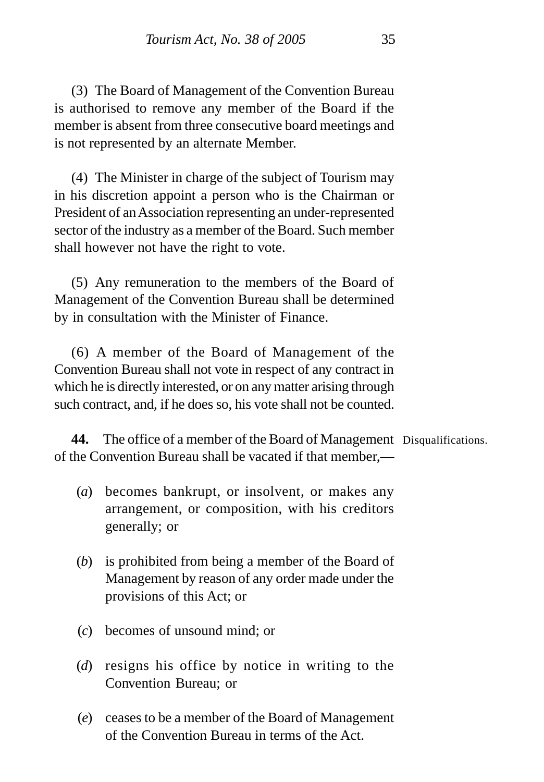(3) The Board of Management of the Convention Bureau is authorised to remove any member of the Board if the member is absent from three consecutive board meetings and is not represented by an alternate Member.

(4) The Minister in charge of the subject of Tourism may in his discretion appoint a person who is the Chairman or President of an Association representing an under-represented sector of the industry as a member of the Board. Such member shall however not have the right to vote.

(5) Any remuneration to the members of the Board of Management of the Convention Bureau shall be determined by in consultation with the Minister of Finance.

(6) A member of the Board of Management of the Convention Bureau shall not vote in respect of any contract in which he is directly interested, or on any matter arising through such contract, and, if he does so, his vote shall not be counted.

**44.** The office of a member of the Board of Management Disqualifications.of the Convention Bureau shall be vacated if that member,—

- (*a*) becomes bankrupt, or insolvent, or makes any arrangement, or composition, with his creditors generally; or
- (*b*) is prohibited from being a member of the Board of Management by reason of any order made under the provisions of this Act; or
- (*c*) becomes of unsound mind; or
- (*d*) resigns his office by notice in writing to the Convention Bureau; or
- (*e*) ceases to be a member of the Board of Management of the Convention Bureau in terms of the Act.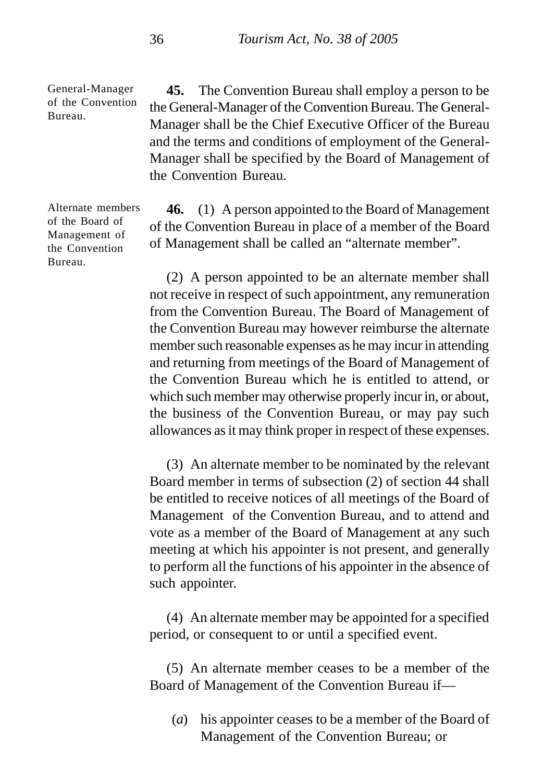General-Manager of the Convention Bureau.

**45.** The Convention Bureau shall employ a person to be the General-Manager of the Convention Bureau. The General-Manager shall be the Chief Executive Officer of the Bureau and the terms and conditions of employment of the General-Manager shall be specified by the Board of Management of the Convention Bureau.

**46.** (1) A person appointed to the Board of Management of the Convention Bureau in place of a member of the Board of Management shall be called an "alternate member".

(2) A person appointed to be an alternate member shall not receive in respect of such appointment, any remuneration from the Convention Bureau. The Board of Management of the Convention Bureau may however reimburse the alternate member such reasonable expenses as he may incur in attending and returning from meetings of the Board of Management of the Convention Bureau which he is entitled to attend, or which such member may otherwise properly incur in, or about, the business of the Convention Bureau, or may pay such allowances as it may think proper in respect of these expenses.

(3) An alternate member to be nominated by the relevant Board member in terms of subsection (2) of section 44 shall be entitled to receive notices of all meetings of the Board of Management of the Convention Bureau, and to attend and vote as a member of the Board of Management at any such meeting at which his appointer is not present, and generally to perform all the functions of his appointer in the absence of such appointer.

(4) An alternate member may be appointed for a specified period, or consequent to or until a specified event.

(5) An alternate member ceases to be a member of the Board of Management of the Convention Bureau if—

(*a*) his appointer ceases to be a member of the Board of Management of the Convention Bureau; or

Alternate members of the Board of Management of the Convention Bureau.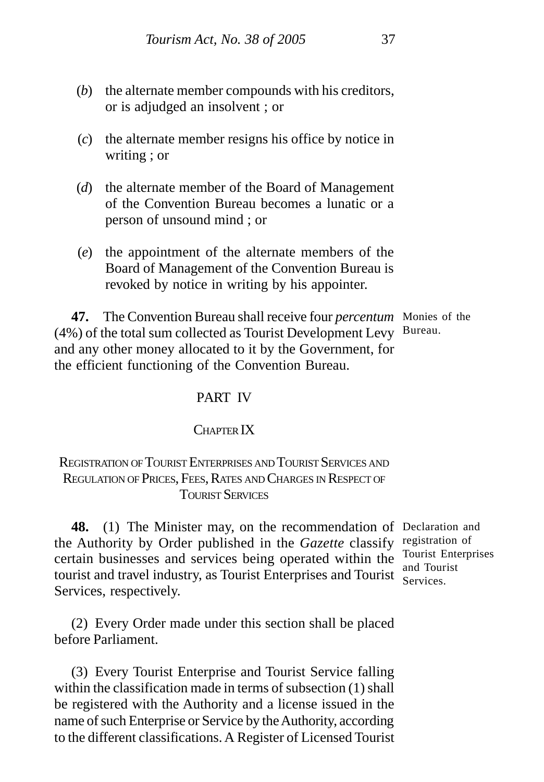- (*b*) the alternate member compounds with his creditors, or is adjudged an insolvent ; or
- (*c*) the alternate member resigns his office by notice in writing ; or
- (*d*) the alternate member of the Board of Management of the Convention Bureau becomes a lunatic or a person of unsound mind ; or
- (*e*) the appointment of the alternate members of the Board of Management of the Convention Bureau is revoked by notice in writing by his appointer.

**47.** The Convention Bureau shall receive four *percentum* Monies of the (4%) of the total sum collected as Tourist Development Levy Bureau. and any other money allocated to it by the Government, for the efficient functioning of the Convention Bureau.

# PART IV

## CHAPTER IX

# REGISTRATION OF TOURIST ENTERPRISES AND TOURIST SERVICES AND REGULATION OF PRICES, FEES, RATES AND CHARGES IN RESPECT OF TOURIST SERVICES

**48.** (1) The Minister may, on the recommendation of Declaration and the Authority by Order published in the *Gazette* classify registration of certain businesses and services being operated within the tourist and travel industry, as Tourist Enterprises and Tourist Services.Services, respectively.

Tourist Enterprises and Tourist

(2) Every Order made under this section shall be placed before Parliament.

(3) Every Tourist Enterprise and Tourist Service falling within the classification made in terms of subsection (1) shall be registered with the Authority and a license issued in the name of such Enterprise or Service by the Authority, according to the different classifications. A Register of Licensed Tourist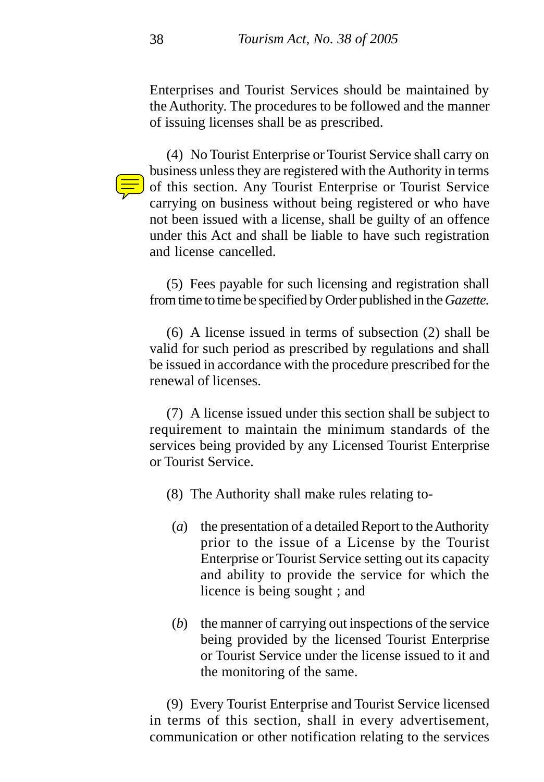Enterprises and Tourist Services should be maintained by the Authority. The procedures to be followed and the manner of issuing licenses shall be as prescribed.

(4) No Tourist Enterprise or Tourist Service shall carry on business unless they are registered with the Authority in terms of this section. Any Tourist Enterprise or Tourist Service carrying on business without being registered or who have not been issued with a license, shall be guilty of an offence under this Act and shall be liable to have such registration and license cancelled.

(5) Fees payable for such licensing and registration shall from time to time be specified by Order published in the *Gazette.*

(6) A license issued in terms of subsection (2) shall be valid for such period as prescribed by regulations and shall be issued in accordance with the procedure prescribed for the renewal of licenses.

(7) A license issued under this section shall be subject to requirement to maintain the minimum standards of the services being provided by any Licensed Tourist Enterprise or Tourist Service.

- (8) The Authority shall make rules relating to-
	- (*a*) the presentation of a detailed Report to the Authority prior to the issue of a License by the Tourist Enterprise or Tourist Service setting out its capacity and ability to provide the service for which the licence is being sought ; and
	- (*b*) the manner of carrying out inspections of the service being provided by the licensed Tourist Enterprise or Tourist Service under the license issued to it and the monitoring of the same.

(9) Every Tourist Enterprise and Tourist Service licensed in terms of this section, shall in every advertisement, communication or other notification relating to the services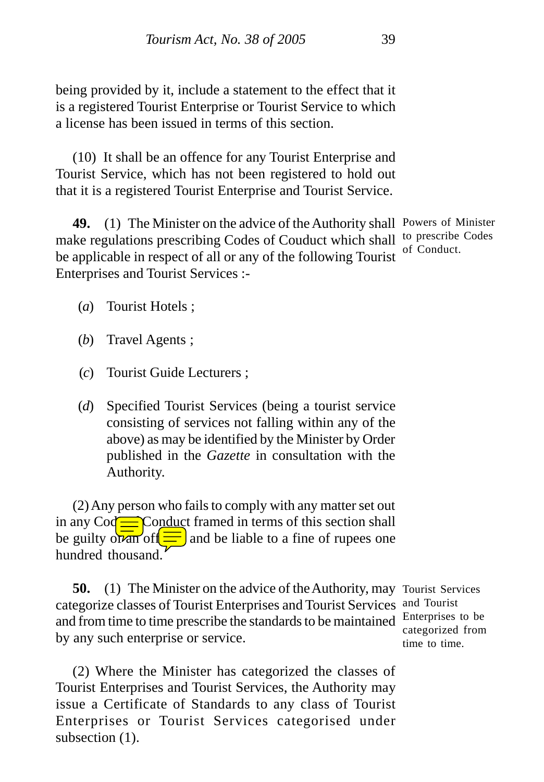being provided by it, include a statement to the effect that it is a registered Tourist Enterprise or Tourist Service to which a license has been issued in terms of this section.

(10) It shall be an offence for any Tourist Enterprise and Tourist Service, which has not been registered to hold out that it is a registered Tourist Enterprise and Tourist Service.

**49.** (1) The Minister on the advice of the Authority shall Powers of Minister make regulations prescribing Codes of Couduct which shall to prescribe Codes be applicable in respect of all or any of the following Tourist Enterprises and Tourist Services : of Conduct.

- (*a*) Tourist Hotels ;
- (*b*) Travel Agents ;
- (*c*) Tourist Guide Lecturers ;
- (*d*) Specified Tourist Services (being a tourist service consisting of services not falling within any of the above) as may be identified by the Minister by Order published in the *Gazette* in consultation with the Authority.

(2) Any person who fails to comply with any matter set out in any  $\text{Co}\rightleftharpoons \text{Conduct framed in terms of this section shall}$ be guilty of  $\frac{1}{\sqrt{2}}$  and be liable to a fine of rupees one hundred thousand.

**50.** (1) The Minister on the advice of the Authority, may Tourist Services categorize classes of Tourist Enterprises and Tourist Services and Tourist and from time to time prescribe the standards to be maintained Enterprises to be by any such enterprise or service.

(2) Where the Minister has categorized the classes of Tourist Enterprises and Tourist Services, the Authority may issue a Certificate of Standards to any class of Tourist Enterprises or Tourist Services categorised under subsection  $(1)$ .

categorized from time to time.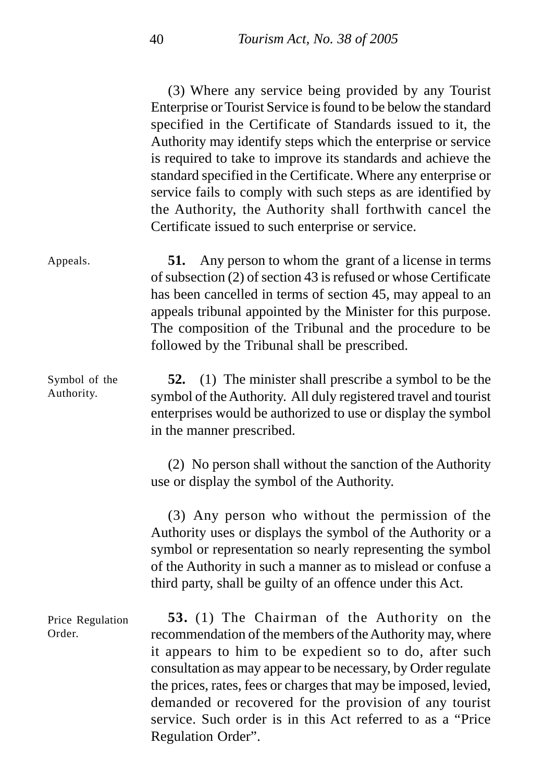(3) Where any service being provided by any Tourist Enterprise or Tourist Service is found to be below the standard specified in the Certificate of Standards issued to it, the Authority may identify steps which the enterprise or service is required to take to improve its standards and achieve the standard specified in the Certificate. Where any enterprise or service fails to comply with such steps as are identified by the Authority, the Authority shall forthwith cancel the Certificate issued to such enterprise or service.

**51.** Any person to whom the grant of a license in terms of subsection (2) of section 43 is refused or whose Certificate has been cancelled in terms of section 45, may appeal to an appeals tribunal appointed by the Minister for this purpose. The composition of the Tribunal and the procedure to be followed by the Tribunal shall be prescribed. Appeals.

**52.** (1) The minister shall prescribe a symbol to be the symbol of the Authority. All duly registered travel and tourist enterprises would be authorized to use or display the symbol in the manner prescribed. Symbol of the Authority.

> (2) No person shall without the sanction of the Authority use or display the symbol of the Authority.

> (3) Any person who without the permission of the Authority uses or displays the symbol of the Authority or a symbol or representation so nearly representing the symbol of the Authority in such a manner as to mislead or confuse a third party, shall be guilty of an offence under this Act.

**53.** (1) The Chairman of the Authority on the recommendation of the members of the Authority may, where it appears to him to be expedient so to do, after such consultation as may appear to be necessary, by Order regulate the prices, rates, fees or charges that may be imposed, levied, demanded or recovered for the provision of any tourist service. Such order is in this Act referred to as a "Price Regulation Order". Price Regulation Order.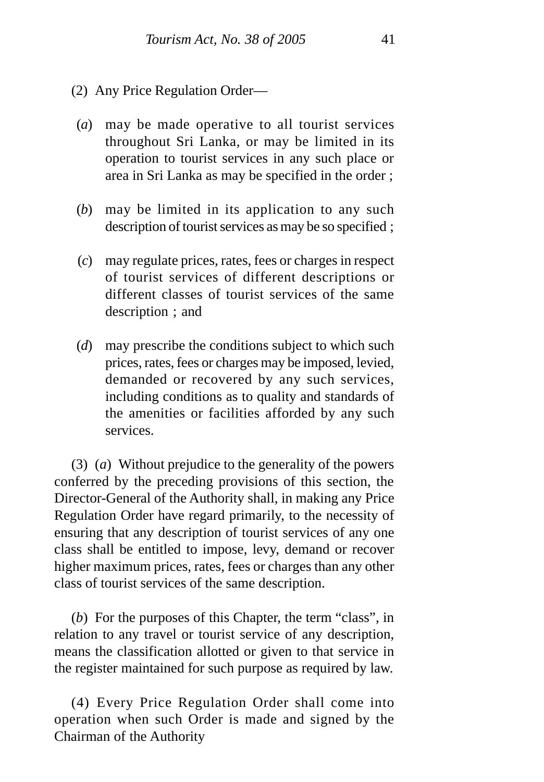- (2) Any Price Regulation Order—
- (*a*) may be made operative to all tourist services throughout Sri Lanka, or may be limited in its operation to tourist services in any such place or area in Sri Lanka as may be specified in the order ;
- (*b*) may be limited in its application to any such description of tourist services as may be so specified ;
- (*c*) may regulate prices, rates, fees or charges in respect of tourist services of different descriptions or different classes of tourist services of the same description ; and
- (*d*) may prescribe the conditions subject to which such prices, rates, fees or charges may be imposed, levied, demanded or recovered by any such services, including conditions as to quality and standards of the amenities or facilities afforded by any such services.

(3) (*a*) Without prejudice to the generality of the powers conferred by the preceding provisions of this section, the Director-General of the Authority shall, in making any Price Regulation Order have regard primarily, to the necessity of ensuring that any description of tourist services of any one class shall be entitled to impose, levy, demand or recover higher maximum prices, rates, fees or charges than any other class of tourist services of the same description.

(*b*) For the purposes of this Chapter, the term "class", in relation to any travel or tourist service of any description, means the classification allotted or given to that service in the register maintained for such purpose as required by law.

(4) Every Price Regulation Order shall come into operation when such Order is made and signed by the Chairman of the Authority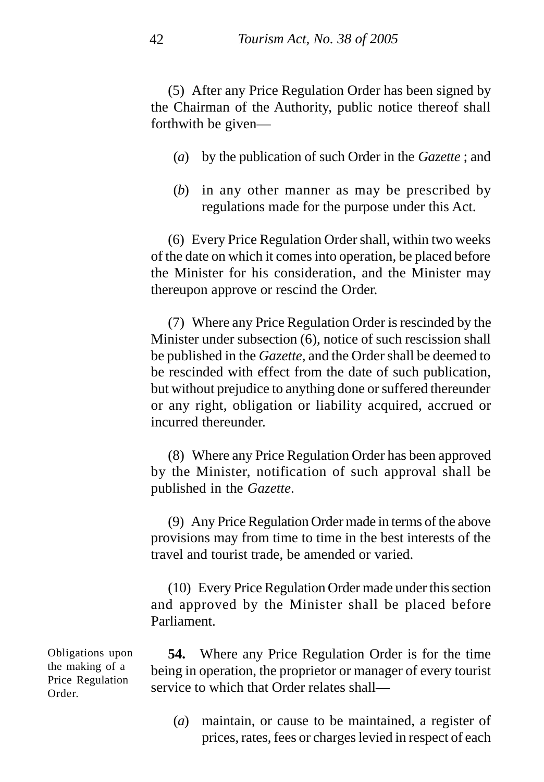(5) After any Price Regulation Order has been signed by the Chairman of the Authority, public notice thereof shall forthwith be given—

- (*a*) by the publication of such Order in the *Gazette* ; and
- (*b*) in any other manner as may be prescribed by regulations made for the purpose under this Act.

(6) Every Price Regulation Order shall, within two weeks of the date on which it comes into operation, be placed before the Minister for his consideration, and the Minister may thereupon approve or rescind the Order.

(7) Where any Price Regulation Order is rescinded by the Minister under subsection (6), notice of such rescission shall be published in the *Gazette*, and the Order shall be deemed to be rescinded with effect from the date of such publication, but without prejudice to anything done or suffered thereunder or any right, obligation or liability acquired, accrued or incurred thereunder.

(8) Where any Price Regulation Order has been approved by the Minister, notification of such approval shall be published in the *Gazette*.

(9) Any Price Regulation Order made in terms of the above provisions may from time to time in the best interests of the travel and tourist trade, be amended or varied.

(10) Every Price Regulation Order made under this section and approved by the Minister shall be placed before Parliament.

**54.** Where any Price Regulation Order is for the time being in operation, the proprietor or manager of every tourist service to which that Order relates shall—

(*a*) maintain, or cause to be maintained, a register of prices, rates, fees or charges levied in respect of each

Obligations upon the making of a Price Regulation Order.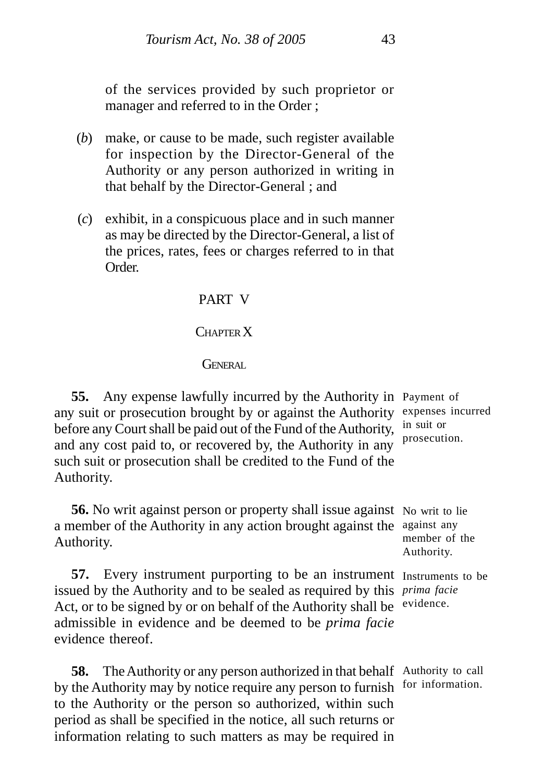of the services provided by such proprietor or manager and referred to in the Order ;

- (*b*) make, or cause to be made, such register available for inspection by the Director-General of the Authority or any person authorized in writing in that behalf by the Director-General ; and
- (*c*) exhibit, in a conspicuous place and in such manner as may be directed by the Director-General, a list of the prices, rates, fees or charges referred to in that Order.

## PART V

#### CHAPTER X

#### GENERAL

**55.** Any expense lawfully incurred by the Authority in Payment of any suit or prosecution brought by or against the Authority expenses incurred before any Court shall be paid out of the Fund of the Authority, and any cost paid to, or recovered by, the Authority in any such suit or prosecution shall be credited to the Fund of the Authority.

**56.** No writ against person or property shall issue against No writ to lie a member of the Authority in any action brought against the against any Authority.

**57.** Every instrument purporting to be an instrument Instruments to be issued by the Authority and to be sealed as required by this *prima facie* Act, or to be signed by or on behalf of the Authority shall be evidence. admissible in evidence and be deemed to be *prima facie* evidence thereof.

**58.** The Authority or any person authorized in that behalf Authority to call by the Authority may by notice require any person to furnish for information. to the Authority or the person so authorized, within such period as shall be specified in the notice, all such returns or information relating to such matters as may be required in

in suit or prosecution.

member of the Authority.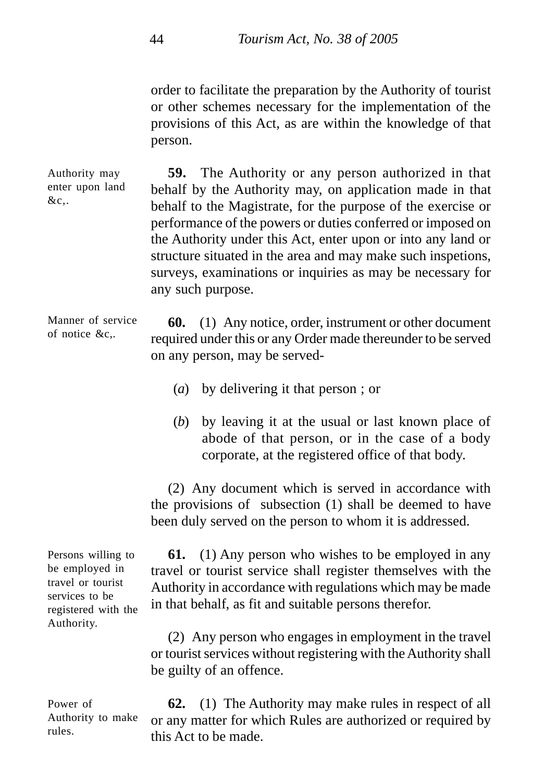order to facilitate the preparation by the Authority of tourist or other schemes necessary for the implementation of the provisions of this Act, as are within the knowledge of that person.

**59.** The Authority or any person authorized in that behalf by the Authority may, on application made in that behalf to the Magistrate, for the purpose of the exercise or performance of the powers or duties conferred or imposed on the Authority under this Act, enter upon or into any land or structure situated in the area and may make such inspetions, surveys, examinations or inquiries as may be necessary for any such purpose. Authority may enter upon land

**60.** (1) Any notice, order, instrument or other document required under this or any Order made thereunder to be served on any person, may be served- Manner of service of notice &c,.

- (*a*) by delivering it that person ; or
- (*b*) by leaving it at the usual or last known place of abode of that person, or in the case of a body corporate, at the registered office of that body.

(2) Any document which is served in accordance with the provisions of subsection (1) shall be deemed to have been duly served on the person to whom it is addressed.

**61.** (1) Any person who wishes to be employed in any travel or tourist service shall register themselves with the Authority in accordance with regulations which may be made in that behalf, as fit and suitable persons therefor.

(2) Any person who engages in employment in the travel or tourist services without registering with the Authority shall be guilty of an offence.

**62.** (1) The Authority may make rules in respect of all or any matter for which Rules are authorized or required by this Act to be made.

Persons willing to be employed in travel or tourist services to be registered with the Authority.

 $&c$ ...

Power of Authority to make rules.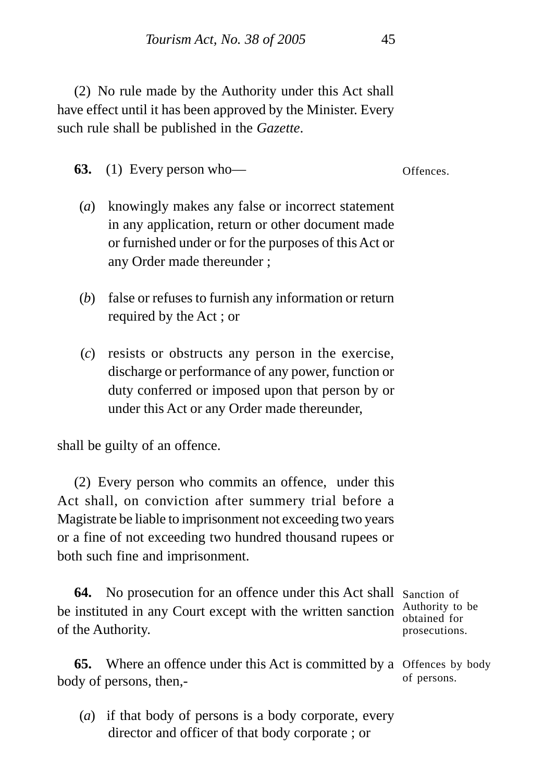(2) No rule made by the Authority under this Act shall have effect until it has been approved by the Minister. Every such rule shall be published in the *Gazette*.

**63.** (1) Every person who—

Offences.

- (*a*) knowingly makes any false or incorrect statement in any application, return or other document made or furnished under or for the purposes of this Act or any Order made thereunder ;
- (*b*) false or refuses to furnish any information or return required by the Act ; or
- (*c*) resists or obstructs any person in the exercise, discharge or performance of any power, function or duty conferred or imposed upon that person by or under this Act or any Order made thereunder,

shall be guilty of an offence.

(2) Every person who commits an offence, under this Act shall, on conviction after summery trial before a Magistrate be liable to imprisonment not exceeding two years or a fine of not exceeding two hundred thousand rupees or both such fine and imprisonment.

64. No prosecution for an offence under this Act shall Sanction of be instituted in any Court except with the written sanction  $\frac{\text{Authority to be}}{\text{obtained for}}$ of the Authority. obtained for prosecutions.

**65.** Where an offence under this Act is committed by a Offences by body body of persons, then, of persons.

(*a*) if that body of persons is a body corporate, every director and officer of that body corporate ; or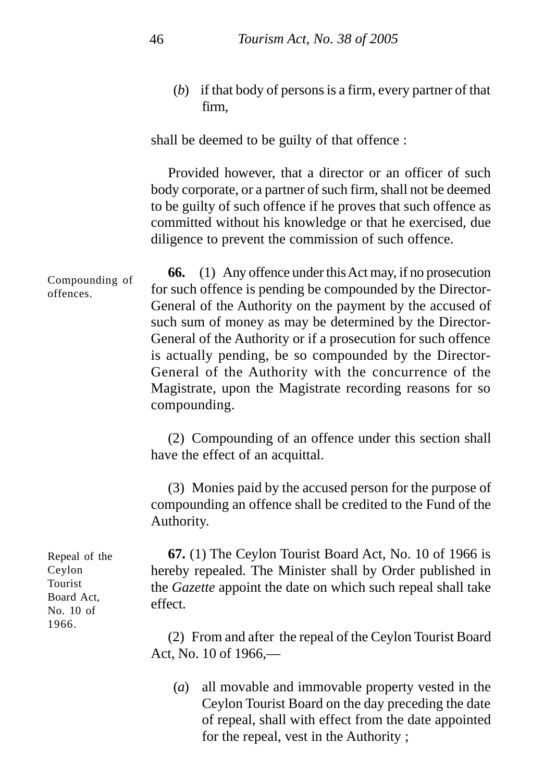(*b*) if that body of persons is a firm, every partner of that firm,

shall be deemed to be guilty of that offence :

Provided however, that a director or an officer of such body corporate, or a partner of such firm, shall not be deemed to be guilty of such offence if he proves that such offence as committed without his knowledge or that he exercised, due diligence to prevent the commission of such offence.

**66.** (1) Any offence under this Act may, if no prosecution for such offence is pending be compounded by the Director-General of the Authority on the payment by the accused of such sum of money as may be determined by the Director-General of the Authority or if a prosecution for such offence is actually pending, be so compounded by the Director-General of the Authority with the concurrence of the Magistrate, upon the Magistrate recording reasons for so compounding. Compounding of offences.

> (2) Compounding of an offence under this section shall have the effect of an acquittal.

> (3) Monies paid by the accused person for the purpose of compounding an offence shall be credited to the Fund of the Authority.

> **67.** (1) The Ceylon Tourist Board Act, No. 10 of 1966 is hereby repealed. The Minister shall by Order published in the *Gazette* appoint the date on which such repeal shall take effect.

> (2) From and after the repeal of the Ceylon Tourist Board Act, No. 10 of 1966,—

(*a*) all movable and immovable property vested in the Ceylon Tourist Board on the day preceding the date of repeal, shall with effect from the date appointed for the repeal, vest in the Authority ;

Repeal of the Ceylon Tourist Board Act, No. 10 of 1966.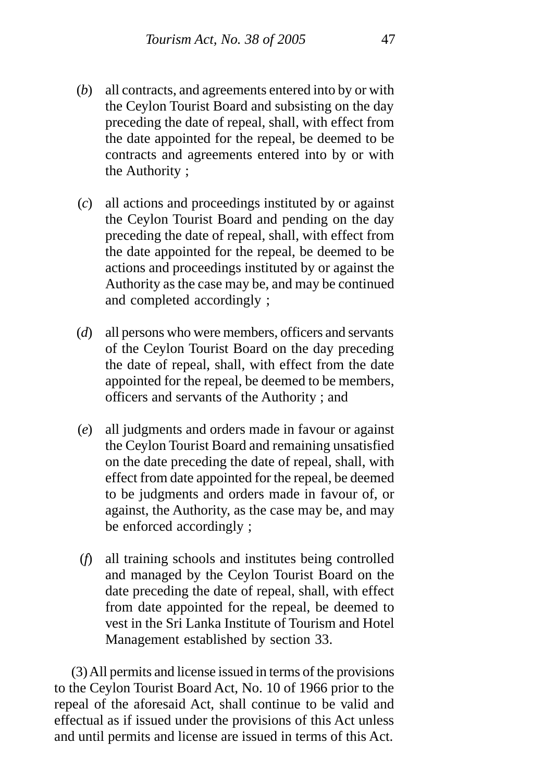- (*b*) all contracts, and agreements entered into by or with the Ceylon Tourist Board and subsisting on the day preceding the date of repeal, shall, with effect from the date appointed for the repeal, be deemed to be contracts and agreements entered into by or with the Authority ;
- (*c*) all actions and proceedings instituted by or against the Ceylon Tourist Board and pending on the day preceding the date of repeal, shall, with effect from the date appointed for the repeal, be deemed to be actions and proceedings instituted by or against the Authority as the case may be, and may be continued and completed accordingly ;
- (*d*) all persons who were members, officers and servants of the Ceylon Tourist Board on the day preceding the date of repeal, shall, with effect from the date appointed for the repeal, be deemed to be members, officers and servants of the Authority ; and
- (*e*) all judgments and orders made in favour or against the Ceylon Tourist Board and remaining unsatisfied on the date preceding the date of repeal, shall, with effect from date appointed for the repeal, be deemed to be judgments and orders made in favour of, or against, the Authority, as the case may be, and may be enforced accordingly ;
- (*f*) all training schools and institutes being controlled and managed by the Ceylon Tourist Board on the date preceding the date of repeal, shall, with effect from date appointed for the repeal, be deemed to vest in the Sri Lanka Institute of Tourism and Hotel Management established by section 33.

(3) All permits and license issued in terms of the provisions to the Ceylon Tourist Board Act, No. 10 of 1966 prior to the repeal of the aforesaid Act, shall continue to be valid and effectual as if issued under the provisions of this Act unless and until permits and license are issued in terms of this Act.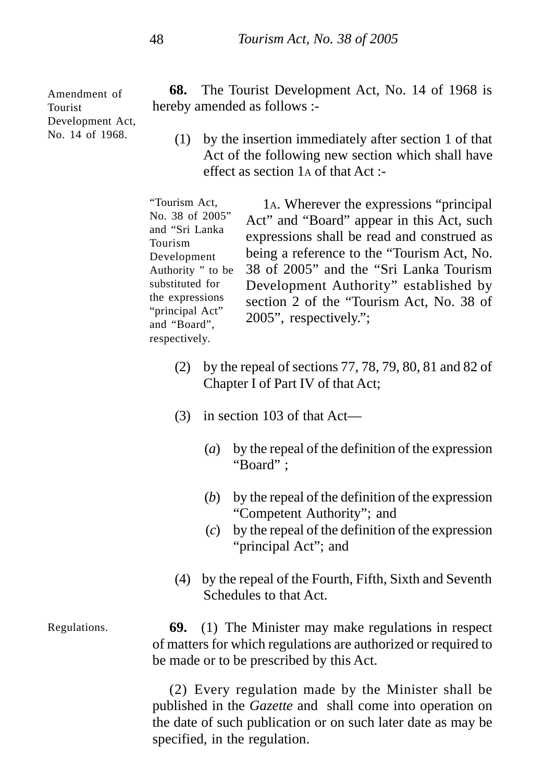Amendment of Tourist Development Act, No. 14 of 1968.

**68.** The Tourist Development Act, No. 14 of 1968 is hereby amended as follows :-

(1) by the insertion immediately after section 1 of that Act of the following new section which shall have effect as section 1A of that Act :-

1A. Wherever the expressions "principal Act" and "Board" appear in this Act, such expressions shall be read and construed as being a reference to the "Tourism Act, No. 38 of 2005" and the "Sri Lanka Tourism Development Authority" established by section 2 of the "Tourism Act, No. 38 of 2005", respectively."; "Tourism Act, No. 38 of 2005" and "Sri Lanka Tourism Development Authority " to be substituted for the expressions "principal Act" and "Board", respectively.

- (2) by the repeal of sections 77, 78, 79, 80, 81 and 82 of Chapter I of Part IV of that Act;
- (3) in section 103 of that Act—
	- (*a*) by the repeal of the definition of the expression "Board" ;
	- (*b*) by the repeal of the definition of the expression "Competent Authority"; and
	- (*c*) by the repeal of the definition of the expression "principal Act"; and
- (4) by the repeal of the Fourth, Fifth, Sixth and Seventh Schedules to that Act.
- **69.** (1) The Minister may make regulations in respect of matters for which regulations are authorized or required to be made or to be prescribed by this Act. Regulations.

(2) Every regulation made by the Minister shall be published in the *Gazette* and shall come into operation on the date of such publication or on such later date as may be specified, in the regulation.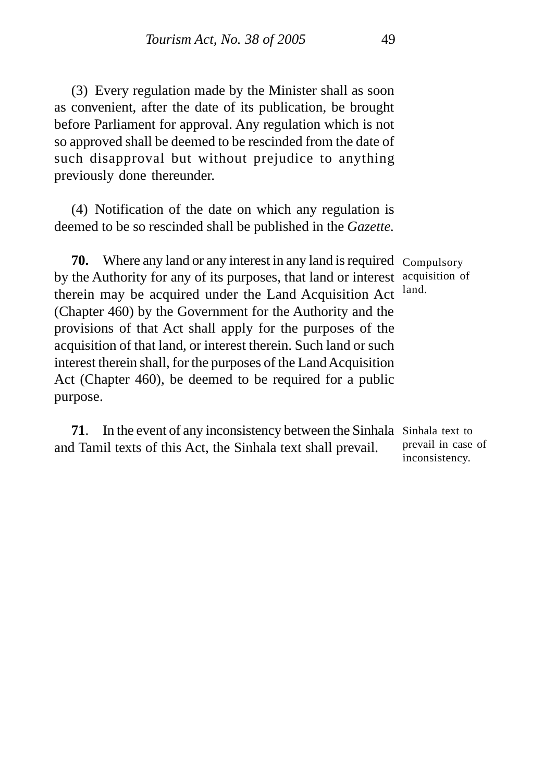(3) Every regulation made by the Minister shall as soon as convenient, after the date of its publication, be brought before Parliament for approval. Any regulation which is not so approved shall be deemed to be rescinded from the date of such disapproval but without prejudice to anything previously done thereunder.

(4) Notification of the date on which any regulation is deemed to be so rescinded shall be published in the *Gazette.*

**70.** Where any land or any interest in any land is required Compulsory by the Authority for any of its purposes, that land or interest acquisition of therein may be acquired under the Land Acquisition Act (Chapter 460) by the Government for the Authority and the provisions of that Act shall apply for the purposes of the acquisition of that land, or interest therein. Such land or such interest therein shall, for the purposes of the Land Acquisition Act (Chapter 460), be deemed to be required for a public purpose.

**71**. In the event of any inconsistency between the Sinhala Sinhala text to and Tamil texts of this Act, the Sinhala text shall prevail. prevail in case of inconsistency.

land.